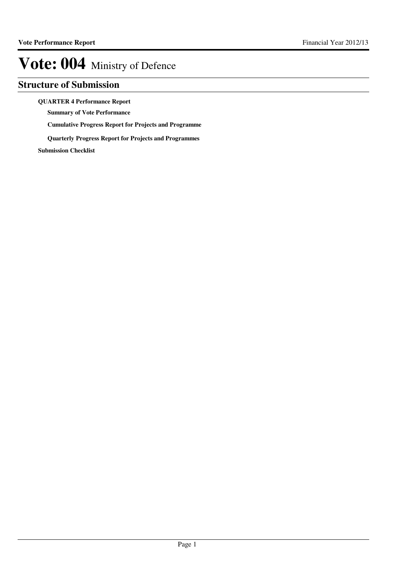### **Structure of Submission**

#### **QUARTER 4 Performance Report**

**Summary of Vote Performance**

**Cumulative Progress Report for Projects and Programme**

**Quarterly Progress Report for Projects and Programmes**

**Submission Checklist**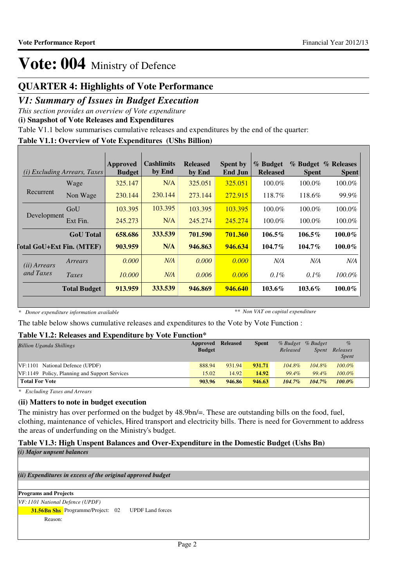### **QUARTER 4: Highlights of Vote Performance**

### *V1: Summary of Issues in Budget Execution*

*This section provides an overview of Vote expenditure*

**(i) Snapshot of Vote Releases and Expenditures**

Table V1.1 below summarises cumulative releases and expenditures by the end of the quarter:

#### **Table V1.1: Overview of Vote Expenditures (UShs Billion)**

|                       | <i>(i)</i> Excluding Arrears, Taxes | Approved<br><b>Budget</b> | <b>Cashlimits</b><br>by End | <b>Released</b><br>by End | <b>Spent by</b><br>End Jun | % Budget<br><b>Released</b> | % Budget<br><b>Spent</b> | % Releases<br><b>Spent</b> |
|-----------------------|-------------------------------------|---------------------------|-----------------------------|---------------------------|----------------------------|-----------------------------|--------------------------|----------------------------|
|                       | Wage                                | 325.147                   | N/A                         | 325.051                   | 325.051                    | $100.0\%$                   | $100.0\%$                | 100.0%                     |
| Recurrent             | Non Wage                            | 230.144                   | 230.144                     | 273.144                   | 272.915                    | 118.7%                      | 118.6%                   | 99.9%                      |
|                       | GoU                                 | 103.395                   | 103.395                     | 103.395                   | 103.395                    | $100.0\%$                   | $100.0\%$                | 100.0%                     |
| Development           | Ext Fin.                            | 245.273                   | N/A                         | 245.274                   | 245.274                    | 100.0%                      | $100.0\%$                | 100.0%                     |
|                       | <b>GoU</b> Total                    | 658.686                   | 333.539                     | 701.590                   | 701.360                    | $106.5\%$                   | $106.5\%$                | $100.0\%$                  |
|                       | <b>Total GoU+Ext Fin. (MTEF)</b>    | 903.959                   | N/A                         | 946.863                   | 946.634                    | $104.7\%$                   | $104.7\%$                | $100.0\%$                  |
| ( <i>ii</i> ) Arrears | Arrears                             | 0.000                     | N/A                         | 0.000                     | 0.000                      | N/A                         | N/A                      | N/A                        |
| and Taxes             | Taxes                               | 10.000                    | N/A                         | 0.006                     | 0.006                      | $0.1\%$                     | $0.1\%$                  | $100.0\%$                  |
|                       | <b>Total Budget</b>                 | 913.959                   | 333.539                     | 946.869                   | 946.640                    | $103.6\%$                   | $103.6\%$                | $100.0\%$                  |

*\* Donor expenditure information available*

*\*\* Non VAT on capital expenditure*

The table below shows cumulative releases and expenditures to the Vote by Vote Function :

#### **Table V1.2: Releases and Expenditure by Vote Function\***

| <b>Billion Uganda Shillings</b>               | Approved<br><b>Budget</b> | <b>Released</b> | <b>Spent</b> | Released  | % Budget % Budget<br><i>Spent</i> | $\%$<br>Releases<br><b>Spent</b> |  |
|-----------------------------------------------|---------------------------|-----------------|--------------|-----------|-----------------------------------|----------------------------------|--|
| VF:1101 National Defence (UPDF)               | 888.94                    | 931.94          | 931.71       | $104.8\%$ | $104.8\%$                         | $100.0\%$                        |  |
| VF:1149 Policy, Planning and Support Services | 15.02                     | 14.92           | 14.92        | 99.4%     | $99.4\%$                          | $100.0\%$                        |  |
| <b>Total For Vote</b>                         | 903.96                    | 946.86          | 946.63       | $104.7\%$ | $104.7\%$                         | $100.0\%$                        |  |

*\* Excluding Taxes and Arrears*

#### **(ii) Matters to note in budget execution**

The ministry has over performed on the budget by 48.9bn/=. These are outstanding bills on the food, fuel, clothing, maintenance of vehicles, Hired transport and electricity bills. There is need for Government to address the areas of underfunding on the Ministry's budget.

#### **Table V1.3: High Unspent Balances and Over-Expenditure in the Domestic Budget (Ushs Bn)**

| $(i)$ Major unpsent balances                                        |
|---------------------------------------------------------------------|
|                                                                     |
| (ii) Expenditures in excess of the original approved budget         |
|                                                                     |
| <b>Programs and Projects</b>                                        |
| VF: 1101 National Defence (UPDF)                                    |
| <b>31.56Bn Shs</b> Programme/Project: 02<br><b>UPDF</b> Land forces |
| Reason:                                                             |
|                                                                     |
|                                                                     |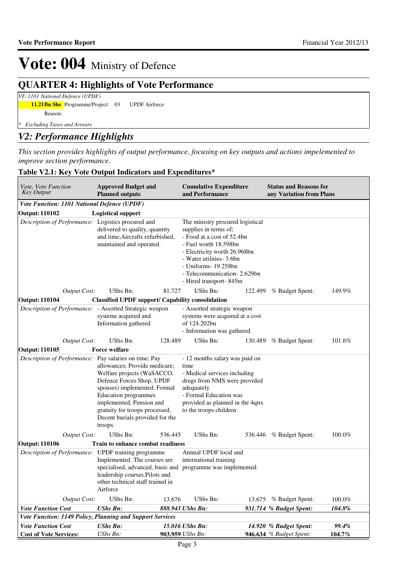## **QUARTER 4: Highlights of Vote Performance**

*VF: 1101 National Defence (UPDF)*

**11.21Bn Shs** Programme/Project: 03 UPDF Airforce Reason:

*\* Excluding Taxes and Arrears*

### *V2: Performance Highlights*

*This section provides highlights of output performance, focusing on key outputs and actions impelemented to improve section performance.*

| <i>Vote, Vote Function</i><br><b>Key Output</b>                | <b>Approved Budget and</b><br><b>Planned outputs</b>                                                                                                                                                                                                         |         | <b>Cumulative Expenditure</b><br>and Performance                                                                                                                                                                                                                |         | <b>Status and Reasons for</b><br>any Variation from Plans |           |
|----------------------------------------------------------------|--------------------------------------------------------------------------------------------------------------------------------------------------------------------------------------------------------------------------------------------------------------|---------|-----------------------------------------------------------------------------------------------------------------------------------------------------------------------------------------------------------------------------------------------------------------|---------|-----------------------------------------------------------|-----------|
| Vote Function: 1101 National Defence (UPDF)                    |                                                                                                                                                                                                                                                              |         |                                                                                                                                                                                                                                                                 |         |                                                           |           |
| <b>Output: 110102</b>                                          | <b>Logistical support</b>                                                                                                                                                                                                                                    |         |                                                                                                                                                                                                                                                                 |         |                                                           |           |
| Description of Performance: Logistics procured and             | delivered to quality, quantity<br>and time; Aircrafts refurbished,<br>maintained and operated.                                                                                                                                                               |         | The ministry procured logistical<br>supplies in terms of;<br>- Food at a cost of 52.4bn<br>- Fuel worth 18.598bn<br>- Electricity worth 26.968bn<br>- Water utilities- 3.6bn<br>- Uniforms- 19.258bn<br>- Telecommunication - 2.629bn<br>- Hired transport-845m |         |                                                           |           |
| <b>Output Cost:</b>                                            | UShs Bn:                                                                                                                                                                                                                                                     | 81.727  | UShs Bn:                                                                                                                                                                                                                                                        | 122.499 | % Budget Spent:                                           | 149.9%    |
| <b>Output: 110104</b>                                          | <b>Classified UPDF support/ Capability consolidation</b>                                                                                                                                                                                                     |         |                                                                                                                                                                                                                                                                 |         |                                                           |           |
| <i>Description of Performance:</i> - Assorted Strategic weapon | systems acquired and<br>Information gathered                                                                                                                                                                                                                 |         | - Assorted strategic weapon<br>systems were acquired at a cost<br>of 124.202bn<br>- Information was gathered                                                                                                                                                    |         |                                                           |           |
| <b>Output Cost:</b>                                            | UShs Bn:                                                                                                                                                                                                                                                     | 128.489 | UShs Bn:                                                                                                                                                                                                                                                        |         | 130.489 % Budget Spent:                                   | 101.6%    |
| <b>Output: 110105</b>                                          | <b>Force welfare</b>                                                                                                                                                                                                                                         |         |                                                                                                                                                                                                                                                                 |         |                                                           |           |
| Description of Performance: Pay salaries on time; Pay          | allowances; Provide medicare;<br>Welfare projects (WaSACCO,<br>Defence Forces Shop, UPDF<br>spouses) implemented; Formal<br>Education programmes<br>implemented, Pension and<br>gratuity for troops processed,<br>Decent burials provided for the<br>troops. |         | - 12 months salary was paid on<br>time<br>- Medical services including<br>drugs from NMS were provided<br>adequately<br>- Formal Education was<br>provided as planned in the 4qtrs<br>to the troops children                                                    |         |                                                           |           |
| <b>Output Cost:</b>                                            | UShs Bn:                                                                                                                                                                                                                                                     | 536.445 | UShs Bn:                                                                                                                                                                                                                                                        |         | 536.446 % Budget Spent:                                   | 100.0%    |
| <b>Output: 110106</b>                                          | <b>Train to enhance combat readiness</b>                                                                                                                                                                                                                     |         |                                                                                                                                                                                                                                                                 |         |                                                           |           |
| Description of Performance: UPDF training programme            | Implemented. The courses are<br>leadership courses.Pilots and<br>other technical staff trained in<br>Airforce                                                                                                                                                |         | Annual UPDF local and<br>international training<br>specialised, advanced, basic and programme was implemented                                                                                                                                                   |         |                                                           |           |
| <b>Output Cost:</b>                                            | UShs Bn:                                                                                                                                                                                                                                                     | 13.676  | UShs Bn:                                                                                                                                                                                                                                                        |         | 13.675 % Budget Spent:                                    | $100.0\%$ |
| <b>Vote Function Cost</b>                                      | <b>UShs Bn:</b>                                                                                                                                                                                                                                              |         | 888.943 UShs Bn:                                                                                                                                                                                                                                                |         | 931.714 % Budget Spent:                                   | 104.8%    |
| Vote Function: 1149 Policy, Planning and Support Services      |                                                                                                                                                                                                                                                              |         |                                                                                                                                                                                                                                                                 |         |                                                           |           |
| <b>Vote Function Cost</b>                                      | <b>UShs Bn:</b>                                                                                                                                                                                                                                              |         | 15.016 UShs Bn:                                                                                                                                                                                                                                                 |         | 14.920 % Budget Spent:                                    | 99.4%     |
| <b>Cost of Vote Services:</b>                                  | UShs Bn:                                                                                                                                                                                                                                                     |         | 903.959 UShs Bn:                                                                                                                                                                                                                                                |         | 946.634 % Budget Spent:                                   | 104.7%    |

#### **Table V2.1: Key Vote Output Indicators and Expenditures\***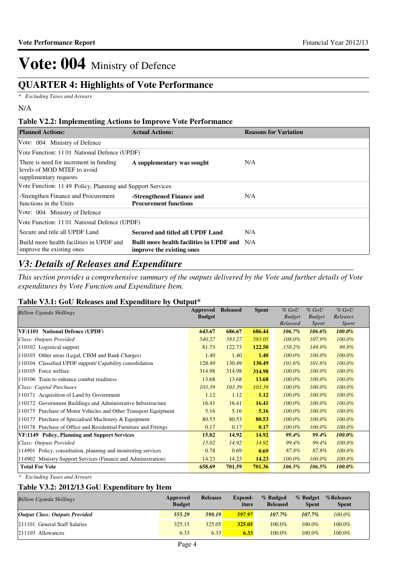## **QUARTER 4: Highlights of Vote Performance**

*\* Excluding Taxes and Arrears*

### **Table V2.2: Implementing Actions to Improve Vote Performance**

| <b>Planned Actions:</b>                                                                         | <b>Actual Actions:</b>                                                | <b>Reasons for Variation</b> |
|-------------------------------------------------------------------------------------------------|-----------------------------------------------------------------------|------------------------------|
| Vote: 004 Ministry of Defence                                                                   |                                                                       |                              |
| Vote Function: 1101 National Defence (UPDF)                                                     |                                                                       |                              |
| There is need for increment in funding<br>levels of MOD MTEF to avoid<br>supplimentary requests | A supplementary was sought                                            | N/A                          |
| Vote Function: 1149 Policy, Planning and Support Services                                       |                                                                       |                              |
| -Strengthen Finance and Procurement<br>functions in the Units                                   | -Strengthened Finance and<br><b>Procurement functions</b>             | N/A                          |
| Vote: 004 Ministry of Defence                                                                   |                                                                       |                              |
| Vote Function: 1101 National Defence (UPDF)                                                     |                                                                       |                              |
| Secure and title all UPDF Land                                                                  | Secured and titled all UPDF Land                                      | N/A                          |
| Build more health facilities in UPDF and<br>improve the existing ones                           | Built more health facilities in UPDF and<br>improve the existing ones | N/A                          |

### *V3: Details of Releases and Expenditure*

*This section provides a comprehensive summary of the outputs delivered by the Vote and further details of Vote expenditures by Vote Function and Expenditure Item.*

### **Table V3.1: GoU Releases and Expenditure by Output\***

| <b>Billion Uganda Shillings</b>                                  | Approved      | <b>Released</b> | <b>Spent</b> | $%$ GoU       | $%$ GoU       | $%$ GoU      |
|------------------------------------------------------------------|---------------|-----------------|--------------|---------------|---------------|--------------|
|                                                                  | <b>Budget</b> |                 |              | <b>Budget</b> | <b>Budget</b> | Releases     |
|                                                                  |               |                 |              | Released      | Spent         | <i>Spent</i> |
| VF:1101 National Defence (UPDF)                                  | 643.67        | 686.67          | 686.44       | $106.7\%$     | 106.6%        | 100.0%       |
| Class: Outputs Provided                                          | 540.27        | 583.27          | 583.05       | 108.0%        | 107.9%        | 100.0%       |
| 110102 Logistical support                                        | 81.73         | 122.73          | 122.50       | $150.2\%$     | 149.9%        | 99.8%        |
| 110103 Other areas (Legal, CISM and Bank Charges)                | 1.40          | 1.40            | 1.40         | $100.0\%$     | $100.0\%$     | 100.0%       |
| 110104 Classified UPDF support/ Capability consolidation         | 128.49        | 130.49          | 130.49       | $101.6\%$     | 101.6%        | 100.0%       |
| 110105 Force welfare                                             | 314.98        | 314.98          | 314.98       | $100.0\%$     | 100.0%        | 100.0%       |
| 110106 Train to enhance combat readiness                         | 13.68         | 13.68           | 13.68        | $100.0\%$     | 100.0%        | 100.0%       |
| Class: Capital Purchases                                         | 103.39        | 103.39          | 103.39       | $100.0\%$     | $100.0\%$     | 100.0%       |
| 110171 Acquisition of Land by Government                         | 1.12          | 1.12            | 1.12         | $100.0\%$     | $100.0\%$     | 100.0%       |
| 110172 Government Buildings and Administrative Infrastructure    | 16.41         | 16.41           | 16.41        | $100.0\%$     | 100.0%        | 100.0%       |
| 110175 Purchase of Motor Vehicles and Other Transport Equipment  | 5.16          | 5.16            | 5.16         | $100.0\%$     | 100.0%        | 100.0%       |
| 110177 Purchase of Specialised Machinery & Equipment             | 80.53         | 80.53           | 80.53        | $100.0\%$     | $100.0\%$     | $100.0\%$    |
| 110178 Purchase of Office and Residential Furniture and Fittings | 0.17          | 0.17            | 0.17         | 100.0%        | 100.0%        | 100.0%       |
| VF:1149 Policy, Planning and Support Services                    | 15.02         | 14.92           | 14.92        | 99.4%         | 99.4%         | 100.0%       |
| Class: Outputs Provided                                          | 15.02         | 14.92           | 14.92        | 99.4%         | 99.4%         | 100.0%       |
| 114901 Policy, consultation, planning and monitoring services    | 0.78          | 0.69            | 0.69         | 87.8%         | 87.8%         | 100.0%       |
| 114902 Ministry Support Services (Finance and Administration)    | 14.23         | 14.23           | 14.23        | $100.0\%$     | 100.0%        | $100.0\%$    |
| <b>Total For Vote</b>                                            | 658.69        | 701.59          | 701.36       | $106.5\%$     | 106.5%        | 100.0%       |

*\* Excluding Taxes and Arrears*

### **Table V3.2: 2012/13 GoU Expenditure by Item**

| <b>Billion Uganda Shillings</b>       | Approved<br><b>Budget</b> | <b>Releases</b> | Expend-<br>iture | % Budged<br><b>Released</b> | % Budget<br><b>Spent</b> | %Releases<br><b>Spent</b> |
|---------------------------------------|---------------------------|-----------------|------------------|-----------------------------|--------------------------|---------------------------|
| <b>Output Class: Outputs Provided</b> | 555.29                    | 598.19          | 597.97           | $107.7\%$                   | $107.7\%$                | $100.0\%$                 |
| 211101 General Staff Salaries         | 325.15                    | 325.05          | 325.05           | 100.0%                      | 100.0%                   | $100.0\%$                 |
| 211103 Allowances                     | 6.33                      | 6.33            | 6.33             | 100.0%                      | 100.0%                   | $100.0\%$                 |

N/A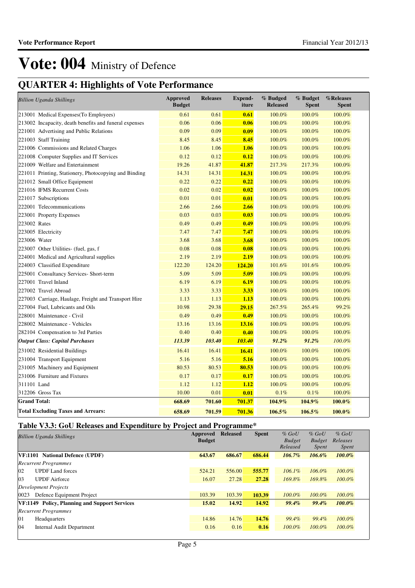## **QUARTER 4: Highlights of Vote Performance**

| <b>Billion Uganda Shillings</b>                        | <b>Approved</b><br><b>Budget</b> | <b>Releases</b> | <b>Expend-</b><br>iture | % Budged<br><b>Released</b> | % Budget<br><b>Spent</b> | %Releases<br><b>Spent</b> |
|--------------------------------------------------------|----------------------------------|-----------------|-------------------------|-----------------------------|--------------------------|---------------------------|
| 213001 Medical Expenses (To Employees)                 | 0.61                             | 0.61            | 0.61                    | 100.0%                      | 100.0%                   | 100.0%                    |
| 213002 Incapacity, death benefits and funeral expenses | 0.06                             | 0.06            | 0.06                    | 100.0%                      | 100.0%                   | 100.0%                    |
| 221001 Advertising and Public Relations                | 0.09                             | 0.09            | 0.09                    | 100.0%                      | 100.0%                   | 100.0%                    |
| 221003 Staff Training                                  | 8.45                             | 8.45            | 8.45                    | 100.0%                      | 100.0%                   | 100.0%                    |
| 221006 Commissions and Related Charges                 | 1.06                             | 1.06            | 1.06                    | 100.0%                      | 100.0%                   | 100.0%                    |
| 221008 Computer Supplies and IT Services               | 0.12                             | 0.12            | 0.12                    | 100.0%                      | 100.0%                   | 100.0%                    |
| 221009 Welfare and Entertainment                       | 19.26                            | 41.87           | 41.87                   | 217.3%                      | 217.3%                   | 100.0%                    |
| 221011 Printing, Stationery, Photocopying and Binding  | 14.31                            | 14.31           | 14.31                   | 100.0%                      | 100.0%                   | 100.0%                    |
| 221012 Small Office Equipment                          | 0.22                             | 0.22            | 0.22                    | 100.0%                      | 100.0%                   | 100.0%                    |
| 221016 IFMS Recurrent Costs                            | 0.02                             | 0.02            | 0.02                    | 100.0%                      | 100.0%                   | 100.0%                    |
| 221017 Subscriptions                                   | 0.01                             | 0.01            | 0.01                    | 100.0%                      | 100.0%                   | 100.0%                    |
| 222001 Telecommunications                              | 2.66                             | 2.66            | 2.66                    | 100.0%                      | 100.0%                   | 100.0%                    |
| 223001 Property Expenses                               | 0.03                             | 0.03            | 0.03                    | 100.0%                      | 100.0%                   | 100.0%                    |
| 223002 Rates                                           | 0.49                             | 0.49            | 0.49                    | 100.0%                      | 100.0%                   | 100.0%                    |
| 223005 Electricity                                     | 7.47                             | 7.47            | 7.47                    | 100.0%                      | 100.0%                   | 100.0%                    |
| 223006 Water                                           | 3.68                             | 3.68            | 3.68                    | 100.0%                      | 100.0%                   | 100.0%                    |
| 223007 Other Utilities- (fuel, gas, f                  | 0.08                             | 0.08            | 0.08                    | 100.0%                      | 100.0%                   | 100.0%                    |
| 224001 Medical and Agricultural supplies               | 2.19                             | 2.19            | 2.19                    | 100.0%                      | 100.0%                   | 100.0%                    |
| 224003 Classified Expenditure                          | 122.20                           | 124.20          | 124.20                  | 101.6%                      | 101.6%                   | 100.0%                    |
| 225001 Consultancy Services- Short-term                | 5.09                             | 5.09            | 5.09                    | 100.0%                      | 100.0%                   | 100.0%                    |
| 227001 Travel Inland                                   | 6.19                             | 6.19            | 6.19                    | 100.0%                      | 100.0%                   | 100.0%                    |
| 227002 Travel Abroad                                   | 3.33                             | 3.33            | 3.33                    | 100.0%                      | 100.0%                   | 100.0%                    |
| 227003 Carriage, Haulage, Freight and Transport Hire   | 1.13                             | 1.13            | 1.13                    | 100.0%                      | 100.0%                   | 100.0%                    |
| 227004 Fuel, Lubricants and Oils                       | 10.98                            | 29.38           | 29.15                   | 267.5%                      | 265.4%                   | 99.2%                     |
| 228001 Maintenance - Civil                             | 0.49                             | 0.49            | 0.49                    | 100.0%                      | 100.0%                   | 100.0%                    |
| 228002 Maintenance - Vehicles                          | 13.16                            | 13.16           | 13.16                   | 100.0%                      | 100.0%                   | 100.0%                    |
| 282104 Compensation to 3rd Parties                     | 0.40                             | 0.40            | 0.40                    | 100.0%                      | 100.0%                   | 100.0%                    |
| <b>Output Class: Capital Purchases</b>                 | 113.39                           | 103.40          | 103.40                  | $91.2\%$                    | $91.2\%$                 | 100.0%                    |
| 231002 Residential Buildings                           | 16.41                            | 16.41           | 16.41                   | 100.0%                      | 100.0%                   | 100.0%                    |
| 231004 Transport Equipment                             | 5.16                             | 5.16            | 5.16                    | 100.0%                      | 100.0%                   | 100.0%                    |
| 231005 Machinery and Equipment                         | 80.53                            | 80.53           | 80.53                   | 100.0%                      | 100.0%                   | 100.0%                    |
| 231006 Furniture and Fixtures                          | 0.17                             | 0.17            | 0.17                    | 100.0%                      | 100.0%                   | 100.0%                    |
| 311101 Land                                            | 1.12                             | 1.12            | 1.12                    | 100.0%                      | 100.0%                   | 100.0%                    |
| 312206 Gross Tax                                       | 10.00                            | 0.01            | 0.01                    | 0.1%                        | 0.1%                     | 100.0%                    |
| <b>Grand Total:</b>                                    | 668.69                           | 701.60          | 701.37                  | 104.9%                      | 104.9%                   | 100.0%                    |
| <b>Total Excluding Taxes and Arrears:</b>              | 658.69                           | 701.59          | 701.36                  | 106.5%                      | 106.5%                   | 100.0%                    |

#### **Table V3.3: GoU Releases and Expenditure by Project and Programme\***

| <b>Billion Uganda Shillings</b>                      | Approved<br><b>Budget</b> | <b>Released</b> | <b>Spent</b> | $%$ GoU<br><b>Budget</b> | $%$ GoU<br><b>Budget</b> | $%$ GoU<br>Releases |
|------------------------------------------------------|---------------------------|-----------------|--------------|--------------------------|--------------------------|---------------------|
|                                                      |                           |                 |              | Released                 | <i>Spent</i>             | <i>Spent</i>        |
| <b>VF:1101</b> National Defence (UPDF)               | 643.67                    | 686.67          | 686.44       | $106.7\%$                | 106.6%                   | $100.0\%$           |
| <b>Recurrent Programmes</b>                          |                           |                 |              |                          |                          |                     |
| $ 02\rangle$<br><b>UPDF</b> Land forces              | 524.21                    | 556.00          | 555.77       | $106.1\%$                | $106.0\%$                | $100.0\%$           |
| 03<br><b>UPDF</b> Airforce                           | 16.07                     | 27.28           | 27.28        | 169.8%                   | 169.8%                   | $100.0\%$           |
| <b>Development Projects</b>                          |                           |                 |              |                          |                          |                     |
| 0023<br>Defence Equipment Project                    | 103.39                    | 103.39          | 103.39       | $100.0\%$                | 100.0%                   | $100.0\%$           |
| <b>VF:1149</b> Policy, Planning and Support Services | 15.02                     | 14.92           | 14.92        | 99.4%                    | $99.4\%$                 | $100.0\%$           |
| <b>Recurrent Programmes</b>                          |                           |                 |              |                          |                          |                     |
| 01<br>Headquarters                                   | 14.86                     | 14.76           | 14.76        | $99.4\%$                 | 99.4%                    | $100.0\%$           |
| 04<br><b>Internal Audit Department</b>               | 0.16                      | 0.16            | 0.16         | $100.0\%$                | $100.0\%$                | $100.0\%$           |
|                                                      |                           |                 |              |                          |                          |                     |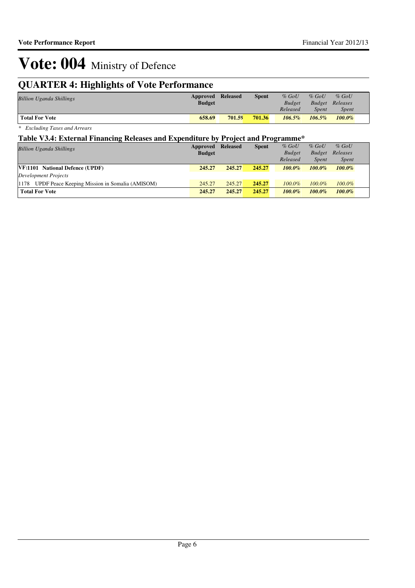## **QUARTER 4: Highlights of Vote Performance**

| <b>Billion Uganda Shillings</b> | <b>Approved Released</b><br><b>Budget</b> |        | <b>Spent</b> | $%$ GoU<br><b>Budget</b><br>Released | $%$ GoU<br>Spent | $%$ GoU<br><b>Budget</b> Releases<br><i>Spent</i> |  |
|---------------------------------|-------------------------------------------|--------|--------------|--------------------------------------|------------------|---------------------------------------------------|--|
| <b>Total For Vote</b>           | 658.69                                    | 701.59 | 701.36       | $106.5\%$                            | $106.5\%$        | $100.0\%$                                         |  |

*\* Excluding Taxes and Arrears*

#### **Table V3.4: External Financing Releases and Expenditure by Project and Programme\***

| <b>Billion Uganda Shillings</b>                      | Approved      | <b>Released</b> | <b>Spent</b> | $%$ GoU       | $%$ GoU       | $%$ GoU      |
|------------------------------------------------------|---------------|-----------------|--------------|---------------|---------------|--------------|
|                                                      | <b>Budget</b> |                 |              | <b>Budget</b> | <b>Budget</b> | Releases     |
|                                                      |               |                 |              | Released      | <i>Spent</i>  | <b>Spent</b> |
| VF:1101 National Defence (UPDF)                      | 245.27        | 245.27          | 245.27       | $100.0\%$     | $100.0\%$     | $100.0\%$    |
| Development Projects                                 |               |                 |              |               |               |              |
| [1178 UPDF Peace Keeping Mission in Somalia (AMISOM) | 245.27        | 245.27          | 245.27       | $100.0\%$     | $100.0\%$     | $100.0\%$    |
| <b>Total For Vote</b>                                | 245.27        | 245.27          | 245.27       | $100.0\%$     | $100.0\%$     | $100.0\%$    |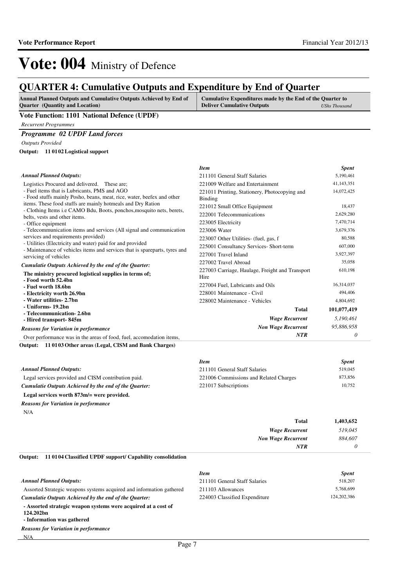*Item Spent*

# Vote: 004 Ministry of Defence

## **QUARTER 4: Cumulative Outputs and Expenditure by End of Quarter**

| <b>Annual Planned Outputs and Cumulative Outputs Achieved by End of</b> | Cumulative Expenditures made by the End of the Quarter to |               |
|-------------------------------------------------------------------------|-----------------------------------------------------------|---------------|
| <b>Ouarter</b> (Quantity and Location)                                  | <b>Deliver Cumulative Outputs</b>                         | UShs Thousand |

#### **Vote Function: 1101 National Defence (UPDF)**

*Recurrent Programmes*

#### *Programme 02 UPDF Land forces*

*Outputs Provided*

**11 0102 Logistical support Output:**

| <b>Annual Planned Outputs:</b>                                                                                                          | 211101 General Staff Salaries                                   | 5,190,461   |
|-----------------------------------------------------------------------------------------------------------------------------------------|-----------------------------------------------------------------|-------------|
| Logistics Procured and delivered. These are;                                                                                            | 221009 Welfare and Entertainment                                | 41,143,351  |
| - Fuel items that is Lubricants, PMS and AGO<br>- Food stuffs mainly Posho, beans, meat, rice, water, beefex and other                  | 221011 Printing, Stationery, Photocopying and<br><b>Binding</b> | 14,072,425  |
| items. These food stuffs are mainly hotmeals and Dry Ration                                                                             | 221012 Small Office Equipment                                   | 18,437      |
| - Clothing Items <i>i.e</i> CAMO Bdu, Boots, ponchos, mosquito nets, berets,<br>belts, vests and other items.                           | 222001 Telecommunications                                       | 2,629,280   |
| - Office equipment                                                                                                                      | 223005 Electricity                                              | 7,470,714   |
| - Telecommunication items and services (All signal and communication                                                                    | 223006 Water                                                    | 3,679,376   |
| services and requirements provided)                                                                                                     | 223007 Other Utilities- (fuel, gas, f                           | 80,588      |
| - Utilities (Electricity and water) paid for and provided<br>- Maintenance of vehicles items and services that is spareparts, tyres and | 225001 Consultancy Services- Short-term                         | 607,000     |
| servicing of vehicles                                                                                                                   | 227001 Travel Inland                                            | 3,927,397   |
| Cumulatie Outputs Achieved by the end of the Quarter:                                                                                   | 227002 Travel Abroad                                            | 35,058      |
| The ministry procured logistical supplies in terms of;<br>- Food worth 52.4bn                                                           | 227003 Carriage, Haulage, Freight and Transport<br>Hire         | 610,198     |
| - Fuel worth 18.6bn                                                                                                                     | 227004 Fuel, Lubricants and Oils                                | 16,314,037  |
| - Electricity worth 26.9bn                                                                                                              | 228001 Maintenance - Civil                                      | 494,406     |
| - Water utilities- 2.7bn                                                                                                                | 228002 Maintenance - Vehicles                                   | 4,804,692   |
| - Uniforms- 19.2bn                                                                                                                      | Total                                                           | 101,077,419 |
| - Telecommunication-2.6bn<br>- Hired transport-845m                                                                                     | <b>Wage Recurrent</b>                                           | 5,190,461   |
| <b>Reasons for Variation in performance</b>                                                                                             | <b>Non Wage Recurrent</b>                                       | 95,886,958  |
| Over performance was in the areas of food, fuel, accomodation items,                                                                    | <b>NTR</b>                                                      | 0           |

**11 0103 Other areas (Legal, CISM and Bank Charges) Output:**

|                                                       | <b>Item</b>                            | <b>Spent</b> |
|-------------------------------------------------------|----------------------------------------|--------------|
| <b>Annual Planned Outputs:</b>                        | 211101 General Staff Salaries          | 519,045      |
| Legal services provided and CISM contribution paid.   | 221006 Commissions and Related Charges | 873,856      |
| Cumulatie Outputs Achieved by the end of the Ouarter: | 221017 Subscriptions                   | 10.752       |
| Legal services worth 873m/= were provided.            |                                        |              |
| <b>Reasons for Variation in performance</b>           |                                        |              |
| N/A                                                   |                                        |              |
|                                                       | .                                      | 1.027        |

| 1,403,652 | Total                     |
|-----------|---------------------------|
| 519,045   | <b>Wage Recurrent</b>     |
| 884,607   | <b>Non Wage Recurrent</b> |
|           | <b>NTR</b>                |
|           |                           |

**11 0104 Classified UPDF support/ Capability consolidation Output:**

|                                                                                                           | <b>Item</b>                   | <b>Spent</b> |
|-----------------------------------------------------------------------------------------------------------|-------------------------------|--------------|
| <b>Annual Planned Outputs:</b>                                                                            | 211101 General Staff Salaries | 518,207      |
| Assorted Strategic weapons systems acquired and information gathered                                      | 211103 Allowances             | 5,768,699    |
| Cumulatie Outputs Achieved by the end of the Ouarter:                                                     | 224003 Classified Expenditure | 124,202,386  |
| - Assorted strategic weapon systems were acquired at a cost of<br>124.202bn<br>- Information was gathered |                               |              |
| <b>Reasons for Variation in performance</b>                                                               |                               |              |
| N/A                                                                                                       |                               |              |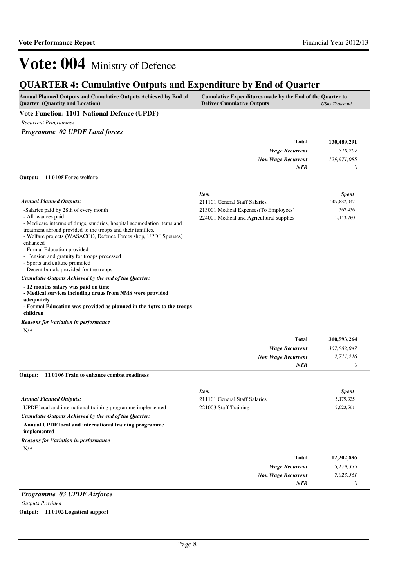*0*

*NTR*

# Vote: 004 Ministry of Defence

## **QUARTER 4: Cumulative Outputs and Expenditure by End of Quarter**

| <b>Annual Planned Outputs and Cumulative Outputs Achieved by End of</b> | Cumulative Expenditures made by the End of the Quarter to |                      |
|-------------------------------------------------------------------------|-----------------------------------------------------------|----------------------|
| <b>Quarter</b> (Quantity and Location)                                  | <b>Deliver Cumulative Outputs</b>                         | <b>UShs Thousand</b> |

#### **Vote Function: 1101 National Defence (UPDF)**

*Recurrent Programmes*

*Programme 02 UPDF Land forces*

|                               |             | <b>Total</b>              | 130,489,291  |
|-------------------------------|-------------|---------------------------|--------------|
|                               |             | <b>Wage Recurrent</b>     | 518,207      |
|                               |             | <b>Non Wage Recurrent</b> | 129,971,085  |
|                               |             | <b>NTR</b>                | 0            |
| Output: 11 0105 Force welfare |             |                           |              |
|                               | <b>Item</b> |                           | <b>Spent</b> |

| <b>Annual Planned Outputs:</b>                                                                                                                                                                                                                                                                                                                                                                                                               | 211101 General Staff Salaries                                                      | 307,882,047                                  |
|----------------------------------------------------------------------------------------------------------------------------------------------------------------------------------------------------------------------------------------------------------------------------------------------------------------------------------------------------------------------------------------------------------------------------------------------|------------------------------------------------------------------------------------|----------------------------------------------|
| -Salaries paid by 28th of every month<br>- Allowances paid<br>- Medicare interms of drugs, sundries, hospital acomodation items and<br>treatment abroad provided to the troops and their families.<br>- Welfare projects (WASACCO, Defence Forces shop, UPDF Spouses)<br>enhanced<br>- Formal Education provided<br>- Pension and gratuity for troops processed<br>- Sports and culture promoted<br>- Decent burials provided for the troops | 213001 Medical Expenses (To Employees)<br>224001 Medical and Agricultural supplies | 567,456<br>2,143,760                         |
| Cumulatie Outputs Achieved by the end of the Quarter:<br>- 12 months salary was paid on time<br>- Medical services including drugs from NMS were provided<br>adequately<br>- Formal Education was provided as planned in the 4qtrs to the troops<br>children<br><b>Reasons for Variation in performance</b>                                                                                                                                  |                                                                                    |                                              |
| N/A                                                                                                                                                                                                                                                                                                                                                                                                                                          | <b>Total</b><br><b>Wage Recurrent</b><br><b>Non Wage Recurrent</b><br><b>NTR</b>   | 310,593,264<br>307,882,047<br>2,711,216<br>0 |
| 110106 Train to enhance combat readiness<br>Output:                                                                                                                                                                                                                                                                                                                                                                                          |                                                                                    |                                              |

|                                                                       | <b>Item</b>                   | <b>Spent</b> |
|-----------------------------------------------------------------------|-------------------------------|--------------|
| <b>Annual Planned Outputs:</b>                                        | 211101 General Staff Salaries | 5,179,335    |
| UPDF local and international training programme implemented           | 221003 Staff Training         | 7,023,561    |
| Cumulatie Outputs Achieved by the end of the Ouarter:                 |                               |              |
| Annual UPDF local and international training programme<br>implemented |                               |              |
| <b>Reasons for Variation in performance</b>                           |                               |              |
| N/A                                                                   |                               |              |
|                                                                       | Total                         | 12,202,896   |
|                                                                       | <b>Wage Recurrent</b>         | 5,179,335    |
|                                                                       | <b>Non Wage Recurrent</b>     | 7,023,561    |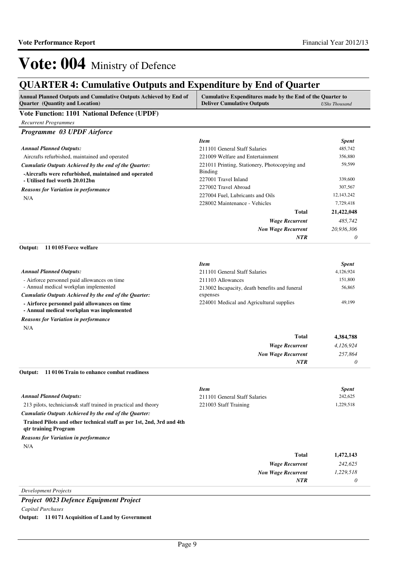## **QUARTER 4: Cumulative Outputs and Expenditure by End of Quarter**

| Annual Planned Outputs and Cumulative Outputs Achieved by End of<br><b>Quarter</b> (Quantity and Location) | Cumulative Expenditures made by the End of the Quarter to<br><b>Deliver Cumulative Outputs</b> | <b>UShs Thousand</b> |  |
|------------------------------------------------------------------------------------------------------------|------------------------------------------------------------------------------------------------|----------------------|--|
| Vote Function: 1101 National Defence (UPDF)                                                                |                                                                                                |                      |  |
| <b>Recurrent Programmes</b>                                                                                |                                                                                                |                      |  |
| Programme 03 UPDF Airforce                                                                                 |                                                                                                |                      |  |
|                                                                                                            | <b>Item</b>                                                                                    | <b>Spent</b>         |  |
| <b>Annual Planned Outputs:</b>                                                                             | 211101 General Staff Salaries                                                                  | 485,742              |  |
| Aircrafts refurbished, maintained and operated                                                             | 221009 Welfare and Entertainment                                                               | 356,880              |  |
| Cumulatie Outputs Achieved by the end of the Quarter:                                                      | 221011 Printing, Stationery, Photocopying and                                                  | 59,599               |  |
| -Aircrafts were refurbished, maintained and operated                                                       | Binding<br>227001 Travel Inland                                                                | 339,600              |  |
| - Utilised fuel worth 20.012bn                                                                             | 227002 Travel Abroad                                                                           | 307,567              |  |
| <b>Reasons for Variation in performance</b>                                                                | 227004 Fuel, Lubricants and Oils                                                               | 12, 143, 242         |  |
| N/A                                                                                                        | 228002 Maintenance - Vehicles                                                                  | 7,729,418            |  |
|                                                                                                            | <b>Total</b>                                                                                   | 21,422,048           |  |
|                                                                                                            | <b>Wage Recurrent</b>                                                                          | 485,742              |  |
|                                                                                                            | <b>Non Wage Recurrent</b>                                                                      | 20,936,306           |  |
|                                                                                                            | <b>NTR</b>                                                                                     | 0                    |  |
| 110105 Force welfare<br>Output:                                                                            |                                                                                                |                      |  |
|                                                                                                            |                                                                                                |                      |  |
|                                                                                                            | <b>Item</b>                                                                                    | <b>Spent</b>         |  |
| <b>Annual Planned Outputs:</b>                                                                             | 211101 General Staff Salaries                                                                  | 4,126,924            |  |
| - Airforce personnel paid allowances on time                                                               | 211103 Allowances                                                                              | 151,800              |  |
| - Annual medical workplan implemented                                                                      | 213002 Incapacity, death benefits and funeral                                                  | 56,865               |  |
| Cumulatie Outputs Achieved by the end of the Quarter:                                                      | expenses                                                                                       |                      |  |
| - Airforce personnel paid allowances on time<br>- Annual medical workplan was implemented                  | 224001 Medical and Agricultural supplies                                                       | 49,199               |  |
| <b>Reasons for Variation in performance</b>                                                                |                                                                                                |                      |  |
| N/A                                                                                                        |                                                                                                |                      |  |
|                                                                                                            | <b>Total</b>                                                                                   | 4,384,788            |  |
|                                                                                                            | <b>Wage Recurrent</b>                                                                          | 4,126,924            |  |
|                                                                                                            | <b>Non Wage Recurrent</b>                                                                      | 257,864              |  |
|                                                                                                            | <b>NTR</b>                                                                                     | 0                    |  |
| 11 01 06 Train to enhance combat readiness<br>Output:                                                      |                                                                                                |                      |  |
|                                                                                                            | <b>Item</b>                                                                                    | <b>Spent</b>         |  |
| <b>Annual Planned Outputs:</b>                                                                             | 211101 General Staff Salaries                                                                  | 242,625              |  |
| 213 pilots, technicians & staff trained in practical and theory                                            | 221003 Staff Training                                                                          | 1,229,518            |  |
| Cumulatie Outputs Achieved by the end of the Quarter:                                                      |                                                                                                |                      |  |
| Trained Pilots and other technical staff as per 1st, 2nd, 3rd and 4th                                      |                                                                                                |                      |  |
| qtr training Program                                                                                       |                                                                                                |                      |  |
| <b>Reasons for Variation in performance</b>                                                                |                                                                                                |                      |  |
| N/A                                                                                                        |                                                                                                |                      |  |
|                                                                                                            | <b>Total</b>                                                                                   | 1,472,143            |  |
|                                                                                                            | <b>Wage Recurrent</b>                                                                          | 242,625              |  |
|                                                                                                            | <b>Non Wage Recurrent</b>                                                                      | 1,229,518            |  |
|                                                                                                            | NTR                                                                                            | 0                    |  |
| <b>Development Projects</b>                                                                                |                                                                                                |                      |  |

*Project 0023 Defence Equipment Project Capital Purchases*

**Output: 11 0171 Acquisition of Land by Government**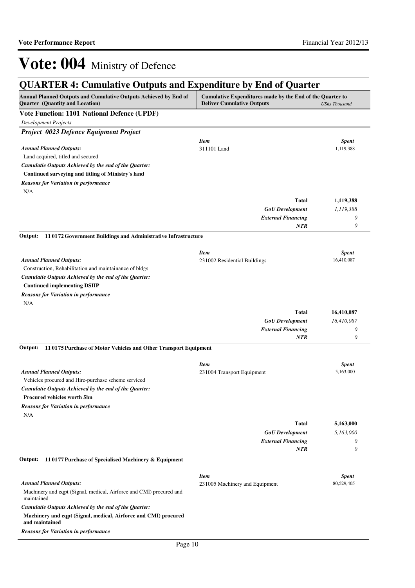| Annual Planned Outputs and Cumulative Outputs Achieved by End of<br>Quarter (Quantity and Location) | Cumulative Expenditures made by the End of the Quarter to<br><b>Deliver Cumulative Outputs</b> | <b>UShs Thousand</b> |
|-----------------------------------------------------------------------------------------------------|------------------------------------------------------------------------------------------------|----------------------|
| Vote Function: 1101 National Defence (UPDF)                                                         |                                                                                                |                      |
| <b>Development Projects</b>                                                                         |                                                                                                |                      |
| Project 0023 Defence Equipment Project                                                              |                                                                                                |                      |
|                                                                                                     | <b>Item</b>                                                                                    | <b>Spent</b>         |
| <b>Annual Planned Outputs:</b>                                                                      | 311101 Land                                                                                    | 1,119,388            |
| Land acquired, titled and secured                                                                   |                                                                                                |                      |
| Cumulatie Outputs Achieved by the end of the Quarter:                                               |                                                                                                |                      |
| Continued surveying and titling of Ministry's land                                                  |                                                                                                |                      |
| <b>Reasons for Variation in performance</b>                                                         |                                                                                                |                      |
| N/A                                                                                                 |                                                                                                |                      |
|                                                                                                     | Total                                                                                          | 1,119,388            |
|                                                                                                     | <b>GoU</b> Development                                                                         | 1,119,388            |
|                                                                                                     | <b>External Financing</b><br><b>NTR</b>                                                        | 0<br>0               |
|                                                                                                     |                                                                                                |                      |
| 110172 Government Buildings and Administrative Infrastructure<br>Output:                            |                                                                                                |                      |
|                                                                                                     | <b>Item</b>                                                                                    | <b>Spent</b>         |
| <b>Annual Planned Outputs:</b>                                                                      | 231002 Residential Buildings                                                                   | 16,410,087           |
| Construction, Rehabilitation and maintainance of bldgs                                              |                                                                                                |                      |
| Cumulatie Outputs Achieved by the end of the Quarter:                                               |                                                                                                |                      |
| <b>Continued implementing DSIIP</b>                                                                 |                                                                                                |                      |
| <b>Reasons for Variation in performance</b>                                                         |                                                                                                |                      |
| N/A                                                                                                 |                                                                                                |                      |
|                                                                                                     | <b>Total</b>                                                                                   | 16,410,087           |
|                                                                                                     | <b>GoU</b> Development                                                                         | 16,410,087           |
|                                                                                                     | <b>External Financing</b>                                                                      | 0                    |
|                                                                                                     | NTR                                                                                            | $\theta$             |
| Output:<br>110175 Purchase of Motor Vehicles and Other Transport Equipment                          |                                                                                                |                      |
|                                                                                                     | <b>Item</b>                                                                                    | <b>Spent</b>         |
| <b>Annual Planned Outputs:</b>                                                                      | 231004 Transport Equipment                                                                     | 5,163,000            |
| Vehicles procured and Hire-purchase scheme serviced                                                 |                                                                                                |                      |
| Cumulatie Outputs Achieved by the end of the Quarter:                                               |                                                                                                |                      |
| <b>Procured vehicles worth 5bn</b>                                                                  |                                                                                                |                      |
| <b>Reasons for Variation in performance</b>                                                         |                                                                                                |                      |
| N/A                                                                                                 |                                                                                                |                      |
|                                                                                                     | <b>Total</b>                                                                                   | 5,163,000            |
|                                                                                                     | <b>GoU</b> Development                                                                         | 5,163,000            |
|                                                                                                     | <b>External Financing</b><br>NTR                                                               | 0<br>$\theta$        |
| 11 0177 Purchase of Specialised Machinery & Equipment<br>Output:                                    |                                                                                                |                      |
|                                                                                                     |                                                                                                |                      |
|                                                                                                     | <b>Item</b>                                                                                    | <b>Spent</b>         |
| <b>Annual Planned Outputs:</b>                                                                      | 231005 Machinery and Equipment                                                                 | 80,529,405           |
| Machinery and eqpt (Signal, medical, Airforce and CMI) procured and<br>maintained                   |                                                                                                |                      |
| Cumulatie Outputs Achieved by the end of the Quarter:                                               |                                                                                                |                      |
| Machinery and eqpt (Signal, medical, Airforce and CMI) procured<br>and maintained                   |                                                                                                |                      |

*Reasons for Variation in performance*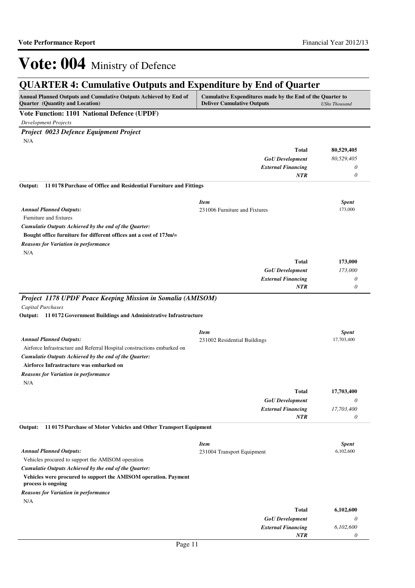*0*

*NTR*

# Vote: 004 Ministry of Defence

| <b>QUARTER 4: Cumulative Outputs and Expenditure by End of Quarter</b>                                                                                                                                |                                 |                 |  |  |
|-------------------------------------------------------------------------------------------------------------------------------------------------------------------------------------------------------|---------------------------------|-----------------|--|--|
| Annual Planned Outputs and Cumulative Outputs Achieved by End of<br>Cumulative Expenditures made by the End of the Quarter to<br>Quarter (Quantity and Location)<br><b>Deliver Cumulative Outputs</b> |                                 |                 |  |  |
| Vote Function: 1101 National Defence (UPDF)                                                                                                                                                           |                                 |                 |  |  |
| <b>Development Projects</b>                                                                                                                                                                           |                                 |                 |  |  |
| Project 0023 Defence Equipment Project                                                                                                                                                                |                                 |                 |  |  |
| N/A                                                                                                                                                                                                   |                                 |                 |  |  |
|                                                                                                                                                                                                       | Total                           | 80,529,405      |  |  |
|                                                                                                                                                                                                       | <b>GoU</b> Development          | 80,529,405      |  |  |
|                                                                                                                                                                                                       | <b>External Financing</b>       | 0               |  |  |
|                                                                                                                                                                                                       | <b>NTR</b>                      | 0               |  |  |
| 110178 Purchase of Office and Residential Furniture and Fittings<br>Output:                                                                                                                           |                                 |                 |  |  |
|                                                                                                                                                                                                       | <b>Item</b>                     | <b>Spent</b>    |  |  |
| <b>Annual Planned Outputs:</b>                                                                                                                                                                        | 231006 Furniture and Fixtures   | 173,000         |  |  |
| Furniture and fixtures                                                                                                                                                                                |                                 |                 |  |  |
| Cumulatie Outputs Achieved by the end of the Quarter:                                                                                                                                                 |                                 |                 |  |  |
| Bought office furniture for different offices ant a cost of 173m/=                                                                                                                                    |                                 |                 |  |  |
| <b>Reasons for Variation in performance</b><br>N/A                                                                                                                                                    |                                 |                 |  |  |
|                                                                                                                                                                                                       | Total                           | 173,000         |  |  |
|                                                                                                                                                                                                       | <b>GoU</b> Development          | 173,000         |  |  |
|                                                                                                                                                                                                       | <b>External Financing</b>       | 0               |  |  |
|                                                                                                                                                                                                       | <b>NTR</b>                      | 0               |  |  |
|                                                                                                                                                                                                       | <b>Item</b>                     | <b>Spent</b>    |  |  |
| <b>Annual Planned Outputs:</b>                                                                                                                                                                        | 231002 Residential Buildings    | 17,703,400      |  |  |
| Airforce Infrastracture and Referral Hospital constructions embarked on<br>Cumulatie Outputs Achieved by the end of the Quarter:                                                                      |                                 |                 |  |  |
| Airforce Infrastracture was embarked on                                                                                                                                                               |                                 |                 |  |  |
| <b>Reasons for Variation in performance</b>                                                                                                                                                           |                                 |                 |  |  |
| N/A                                                                                                                                                                                                   |                                 |                 |  |  |
|                                                                                                                                                                                                       | Total<br><b>GoU</b> Development | 17,703,400<br>0 |  |  |
|                                                                                                                                                                                                       | <b>External Financing</b>       | 17,703,400      |  |  |
|                                                                                                                                                                                                       | <b>NTR</b>                      | 0               |  |  |
| Output:<br>110175 Purchase of Motor Vehicles and Other Transport Equipment                                                                                                                            |                                 |                 |  |  |
|                                                                                                                                                                                                       | <b>Item</b>                     | <b>Spent</b>    |  |  |
| <b>Annual Planned Outputs:</b>                                                                                                                                                                        | 231004 Transport Equipment      | 6,102,600       |  |  |
| Vehicles procured to support the AMISOM operation                                                                                                                                                     |                                 |                 |  |  |
| Cumulatie Outputs Achieved by the end of the Quarter:                                                                                                                                                 |                                 |                 |  |  |
| Vehicles were procured to support the AMISOM operation. Payment<br>process is ongoing                                                                                                                 |                                 |                 |  |  |
| <b>Reasons for Variation in performance</b>                                                                                                                                                           |                                 |                 |  |  |
| N/A                                                                                                                                                                                                   |                                 |                 |  |  |
|                                                                                                                                                                                                       | Total                           | 6,102,600       |  |  |
|                                                                                                                                                                                                       | <b>GoU</b> Development          | 0<br>6,102,600  |  |  |
|                                                                                                                                                                                                       | <b>External Financing</b>       |                 |  |  |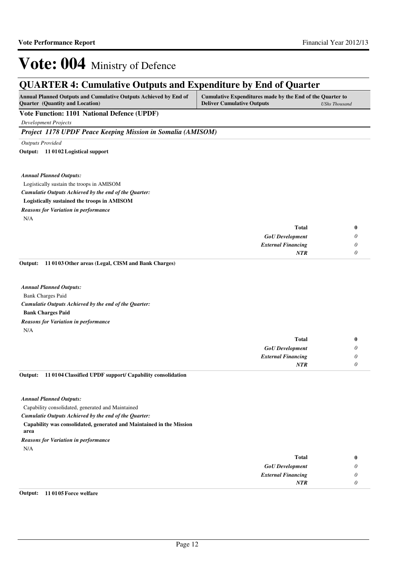## **QUARTER 4: Cumulative Outputs and Expenditure by End of Quarter**

| <b>Annual Planned Outputs and Cumulative Outputs Achieved by End of</b> | Cumulative Expenditures made by the End of the Quarter to |                      |
|-------------------------------------------------------------------------|-----------------------------------------------------------|----------------------|
| <b>Quarter</b> (Quantity and Location)                                  | <b>Deliver Cumulative Outputs</b>                         | <b>UShs Thousand</b> |

#### **Vote Function: 1101 National Defence (UPDF)**

*Development Projects*

*Project 1178 UPDF Peace Keeping Mission in Somalia (AMISOM)*

*Outputs Provided*

**11 0102 Logistical support Output:**

*Annual Planned Outputs:*

Logistically sustain the troops in AMISOM

*Cumulatie Outputs Achieved by the end of the Quarter:*

#### **Logistically sustained the troops in AMISOM**

*Reasons for Variation in performance*

N/A

|   | <b>Total</b>              |
|---|---------------------------|
|   | <b>GoU</b> Development    |
| υ | <b>External Financing</b> |
|   | <b>NTR</b>                |
|   |                           |

**11 0103 Other areas (Legal, CISM and Bank Charges) Output:**

Bank Charges Paid **Bank Charges Paid** *Cumulatie Outputs Achieved by the end of the Quarter: Annual Planned Outputs:* N/A *Reasons for Variation in performance*

| Total                     |  |
|---------------------------|--|
| <b>GoU</b> Development    |  |
| <b>External Financing</b> |  |
| <b>NTR</b>                |  |
|                           |  |

**11 0104 Classified UPDF support/ Capability consolidation Output:**

*Annual Planned Outputs:*

Capability consolidated, generated and Maintained

*Cumulatie Outputs Achieved by the end of the Quarter:*

**Capability was consolidated, generated and Maintained in the Mission** 

**area**

*Reasons for Variation in performance*

N/A

| <b>Total</b>              | $\bf{0}$ |
|---------------------------|----------|
| <b>GoU</b> Development    | υ        |
| <b>External Financing</b> | υ        |
| <b>NTR</b>                | ı        |

**Output: 11 0105 Force welfare**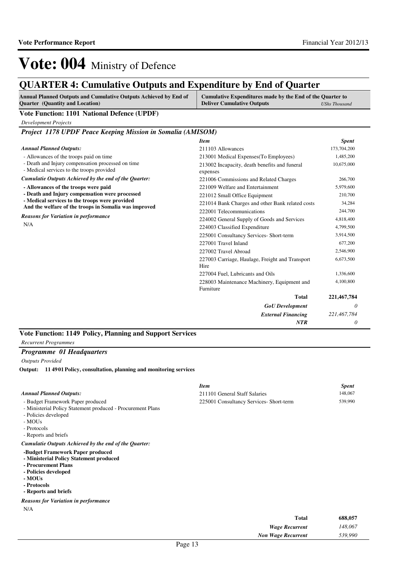*GoU Development External Financing*

*Wage Recurrent Non Wage Recurrent*

227004 Fuel, Lubricants and Oils 1,336,600

228003 Maintenance Machinery, Equipment and

**Total**

*NTR*

*0*

*0*

*221,467,784*

*148,067 539,990*

**221,467,784**

4,100,800

# Vote: 004 Ministry of Defence

### **QUARTER 4: Cumulative Outputs and Expenditure by End of Quarter**

| QUARTER 4: Cumulauve Outputs and Expenditure by End of Quarter                                                                                                                                                                                          |                                                                                                                                                                                                                                                                                                                               |                                                                                                          |
|---------------------------------------------------------------------------------------------------------------------------------------------------------------------------------------------------------------------------------------------------------|-------------------------------------------------------------------------------------------------------------------------------------------------------------------------------------------------------------------------------------------------------------------------------------------------------------------------------|----------------------------------------------------------------------------------------------------------|
| Annual Planned Outputs and Cumulative Outputs Achieved by End of<br><b>Quarter</b> (Quantity and Location)                                                                                                                                              | Cumulative Expenditures made by the End of the Quarter to<br><b>Deliver Cumulative Outputs</b>                                                                                                                                                                                                                                | <b>UShs Thousand</b>                                                                                     |
| <b>Vote Function: 1101 National Defence (UPDF)</b>                                                                                                                                                                                                      |                                                                                                                                                                                                                                                                                                                               |                                                                                                          |
| <b>Development Projects</b>                                                                                                                                                                                                                             |                                                                                                                                                                                                                                                                                                                               |                                                                                                          |
| Project 1178 UPDF Peace Keeping Mission in Somalia (AMISOM)                                                                                                                                                                                             |                                                                                                                                                                                                                                                                                                                               |                                                                                                          |
|                                                                                                                                                                                                                                                         | <b>Item</b>                                                                                                                                                                                                                                                                                                                   | <b>Spent</b>                                                                                             |
| <b>Annual Planned Outputs:</b>                                                                                                                                                                                                                          | 211103 Allowances                                                                                                                                                                                                                                                                                                             | 173,704,200                                                                                              |
| - Allowances of the troops paid on time                                                                                                                                                                                                                 | 213001 Medical Expenses (To Employees)                                                                                                                                                                                                                                                                                        | 1,485,200                                                                                                |
| - Death and Injury compensation processed on time<br>- Medical services to the troops provided                                                                                                                                                          | 213002 Incapacity, death benefits and funeral<br>expenses                                                                                                                                                                                                                                                                     | 10,675,000                                                                                               |
| Cumulatie Outputs Achieved by the end of the Quarter:                                                                                                                                                                                                   | 221006 Commissions and Related Charges                                                                                                                                                                                                                                                                                        | 266,700                                                                                                  |
| - Allowances of the troops were paid<br>- Death and Injury compensation were processed<br>- Medical services to the troops were provided<br>And the welfare of the troops in Somalia was improved<br><b>Reasons for Variation in performance</b><br>N/A | 221009 Welfare and Entertainment<br>221012 Small Office Equipment<br>221014 Bank Charges and other Bank related costs<br>222001 Telecommunications<br>224002 General Supply of Goods and Services<br>224003 Classified Expenditure<br>225001 Consultancy Services- Short-term<br>227001 Travel Inland<br>227002 Travel Abroad | 5,979,600<br>210,700<br>34,284<br>244,700<br>4,818,400<br>4,799,500<br>3,914,500<br>677,200<br>2,546,900 |
|                                                                                                                                                                                                                                                         | 227003 Carriage, Haulage, Freight and Transport<br>Hire                                                                                                                                                                                                                                                                       | 6,673,500                                                                                                |

Furniture

*Outputs Provided* **11 4901 Policy, consultation, planning and monitoring services Output:**

**Vote Function: 1149 Policy, Planning and Support Services**

*Recurrent Programmes*

*Programme 01 Headquarters*

|                                                                                                                                                                             | <b>Item</b>                             | <b>Spent</b> |  |
|-----------------------------------------------------------------------------------------------------------------------------------------------------------------------------|-----------------------------------------|--------------|--|
| <b>Annual Planned Outputs:</b>                                                                                                                                              | 211101 General Staff Salaries           | 148,067      |  |
| - Budget Framework Paper produced<br>- Ministerial Policy Statement produced - Procurement Plans<br>- Policies developed<br>- MOUs<br>- Protocols<br>- Reports and briefs   | 225001 Consultancy Services- Short-term | 539,990      |  |
| Cumulatie Outputs Achieved by the end of the Quarter:                                                                                                                       |                                         |              |  |
| -Budget Framework Paper produced<br>- Ministerial Policy Statement produced<br>- Procurement Plans<br>- Policies developed<br>- MOUs<br>- Protocols<br>- Reports and briefs |                                         |              |  |
| <b>Reasons for Variation in performance</b>                                                                                                                                 |                                         |              |  |
| N/A                                                                                                                                                                         |                                         |              |  |
|                                                                                                                                                                             | <b>Total</b>                            | 688,057      |  |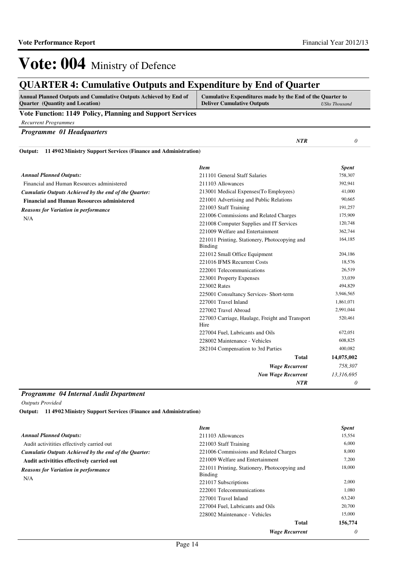## **QUARTER 4: Cumulative Outputs and Expenditure by End of Quarter**

| <b>Annual Planned Outputs and Cumulative Outputs Achieved by End of</b> | Cumulative Expenditures made by the End of the Quarter to |                      |
|-------------------------------------------------------------------------|-----------------------------------------------------------|----------------------|
| <b>Quarter</b> (Quantity and Location)                                  | <b>Deliver Cumulative Outputs</b>                         | <b>UShs Thousand</b> |

#### **Vote Function: 1149 Policy, Planning and Support Services**

*Recurrent Programmes*

| Programme 01 Headquarters                                                |                                                                 |              |
|--------------------------------------------------------------------------|-----------------------------------------------------------------|--------------|
|                                                                          | NTR                                                             | $\theta$     |
| 114902 Ministry Support Services (Finance and Administration)<br>Output: |                                                                 |              |
|                                                                          | <b>Item</b>                                                     | <b>Spent</b> |
| <b>Annual Planned Outputs:</b>                                           | 211101 General Staff Salaries                                   | 758,307      |
| Financial and Human Resources administered                               | 211103 Allowances                                               | 392,941      |
| Cumulatie Outputs Achieved by the end of the Quarter:                    | 213001 Medical Expenses(To Employees)                           | 41,000       |
| <b>Financial and Human Resources administered</b>                        | 221001 Advertising and Public Relations                         | 90,665       |
| <b>Reasons for Variation in performance</b>                              | 221003 Staff Training                                           | 191,257      |
| N/A                                                                      | 221006 Commissions and Related Charges                          | 175,909      |
|                                                                          | 221008 Computer Supplies and IT Services                        | 120,748      |
|                                                                          | 221009 Welfare and Entertainment                                | 362,744      |
|                                                                          | 221011 Printing, Stationery, Photocopying and<br><b>Binding</b> | 164,185      |
|                                                                          | 221012 Small Office Equipment                                   | 204,186      |
|                                                                          | 221016 IFMS Recurrent Costs                                     | 18,576       |
|                                                                          | 222001 Telecommunications                                       | 26,519       |
|                                                                          | 223001 Property Expenses                                        | 33,039       |
|                                                                          | 223002 Rates                                                    | 494,829      |
|                                                                          | 225001 Consultancy Services- Short-term                         | 3,946,565    |
|                                                                          | 227001 Travel Inland                                            | 1,861,071    |
|                                                                          | 227002 Travel Abroad                                            | 2,991,044    |
|                                                                          | 227003 Carriage, Haulage, Freight and Transport<br>Hire         | 520,461      |
|                                                                          | 227004 Fuel, Lubricants and Oils                                | 672,051      |
|                                                                          | 228002 Maintenance - Vehicles                                   | 608,825      |
|                                                                          | 282104 Compensation to 3rd Parties                              | 400,082      |
|                                                                          | <b>Total</b>                                                    | 14,075,002   |
|                                                                          | <b>Wage Recurrent</b>                                           | 758,307      |
|                                                                          | <b>Non Wage Recurrent</b>                                       | 13,316,695   |
|                                                                          | <b>NTR</b>                                                      | $\theta$     |

#### *Programme 04 Internal Audit Department*

*Outputs Provided*

**11 4902 Ministry Support Services (Finance and Administration) Output:**

|                                                       | <b>Item</b>                                              | <b>Spent</b> |
|-------------------------------------------------------|----------------------------------------------------------|--------------|
| <b>Annual Planned Outputs:</b>                        | 211103 Allowances                                        | 15,554       |
| Audit activitities effectively carried out            | 221003 Staff Training                                    | 6,000        |
| Cumulatie Outputs Achieved by the end of the Quarter: | 221006 Commissions and Related Charges                   | 8,000        |
| Audit activitities effectively carried out            | 221009 Welfare and Entertainment                         | 7,200        |
| <b>Reasons for Variation in performance</b><br>N/A    | 221011 Printing, Stationery, Photocopying and<br>Binding | 18,000       |
|                                                       | 221017 Subscriptions                                     | 2,000        |
|                                                       | 222001 Telecommunications                                | 1,080        |
|                                                       | 227001 Travel Inland                                     | 63,240       |
|                                                       | 227004 Fuel, Lubricants and Oils                         | 20,700       |
|                                                       | 228002 Maintenance - Vehicles                            | 15,000       |
|                                                       | <b>Total</b>                                             | 156,774      |
|                                                       | <b>Wage Recurrent</b>                                    | $\theta$     |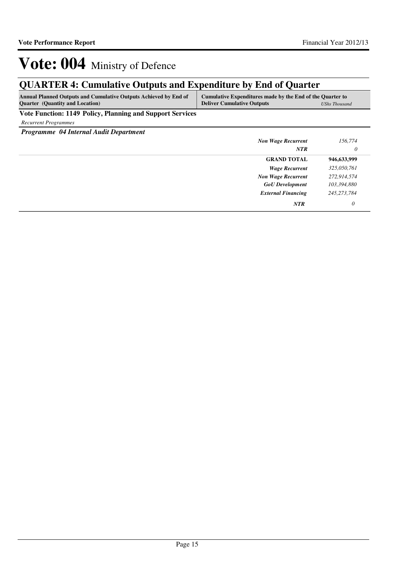## **QUARTER 4: Cumulative Outputs and Expenditure by End of Quarter**

| <b>Annual Planned Outputs and Cumulative Outputs Achieved by End of</b> | Cumulative Expenditures made by the End of the Quarter to |                      |
|-------------------------------------------------------------------------|-----------------------------------------------------------|----------------------|
| <b>Quarter</b> (Quantity and Location)                                  | <b>Deliver Cumulative Outputs</b>                         | <b>UShs Thousand</b> |
|                                                                         |                                                           |                      |

**Vote Function: 1149 Policy, Planning and Support Services**

*Recurrent Programmes*

*Programme 04 Internal Audit Department*

| <b>Non Wage Recurrent</b> | 156,774       |
|---------------------------|---------------|
| <b>NTR</b>                | $\theta$      |
| <b>GRAND TOTAL</b>        | 946,633,999   |
| <b>Wage Recurrent</b>     | 325,050,761   |
| <b>Non Wage Recurrent</b> | 272,914,574   |
| <b>GoU</b> Development    | 103,394,880   |
| <b>External Financing</b> | 245, 273, 784 |
| <b>NTR</b>                | 0             |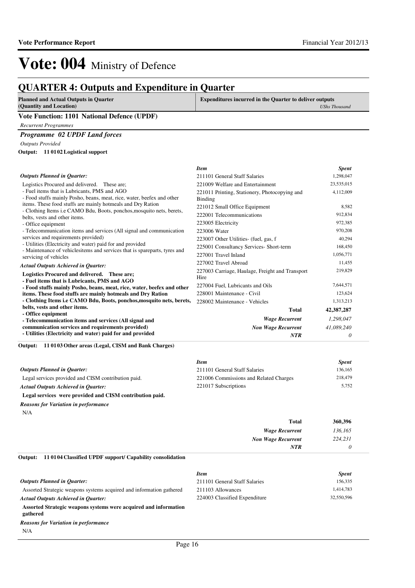## **QUARTER 4: Outputs and Expenditure in Quarter**

| <b>Planned and Actual Outputs in Quarter</b> | <b>Expenditures incurred in the Quarter to deliver outputs</b> |                      |
|----------------------------------------------|----------------------------------------------------------------|----------------------|
| (Quantity and Location)                      |                                                                | <b>UShs Thousand</b> |
| Vote Function: 1101 National Defence (UPDF)  |                                                                |                      |
| <b>Recurrent Programmes</b>                  |                                                                |                      |
| <b>Programme 02 UPDF Land forces</b>         |                                                                |                      |
| <b>Outputs Provided</b>                      |                                                                |                      |
| Output: 11 0102 Logistical support           |                                                                |                      |
|                                              | <b>Item</b>                                                    | <b>Spent</b>         |
| <b>Outputs Planned in Quarter:</b>           | 211101 General Staff Salaries                                  | 1,298,047            |
| Logistics Procured and delivered. These are: | 221009 Welfare and Entertainment                               | 23.535.015           |

| LOGISTICS FTOCUTCU and denveled. These are,                                                                                            | $221009$ wellare and Einertamment               | 23.JJJ.VIJ |
|----------------------------------------------------------------------------------------------------------------------------------------|-------------------------------------------------|------------|
| - Fuel items that is Lubricants, PMS and AGO                                                                                           | 221011 Printing, Stationery, Photocopying and   | 4,112,009  |
| - Food stuffs mainly Posho, beans, meat, rice, water, beefex and other                                                                 | Binding                                         |            |
| items. These food stuffs are mainly hotmeals and Dry Ration                                                                            | 221012 Small Office Equipment                   | 8,582      |
| - Clothing Items <i>i.e</i> CAMO Bdu, Boots, ponchos, mosquito nets, berets,                                                           | 222001 Telecommunications                       | 912,834    |
| belts, vests and other items.                                                                                                          | 223005 Electricity                              | 972,385    |
| - Office equipment<br>- Telecommunication items and services (All signal and communication                                             |                                                 | 970,208    |
|                                                                                                                                        | 223006 Water                                    |            |
| services and requirements provided)                                                                                                    | 223007 Other Utilities- (fuel, gas, f           | 40,294     |
| - Utilities (Electricity and water) paid for and provided<br>- Maintenance of vehiclesitems and services that is spareparts, tyres and | 225001 Consultancy Services- Short-term         | 168,450    |
| servicing of vehicles                                                                                                                  | 227001 Travel Inland                            | 1,056,771  |
| <b>Actual Outputs Achieved in Quarter:</b>                                                                                             | 227002 Travel Abroad                            | 11,455     |
|                                                                                                                                        | 227003 Carriage, Haulage, Freight and Transport | 219,829    |
| Logistics Procured and delivered. These are;                                                                                           | Hire                                            |            |
| - Fuel items that is Lubricants, PMS and AGO                                                                                           | 227004 Fuel, Lubricants and Oils                | 7,644,571  |
| - Food stuffs mainly Posho, beans, meat, rice, water, beefex and other                                                                 |                                                 | 123,624    |
| items. These food stuffs are mainly hotmeals and Dry Ration                                                                            | 228001 Maintenance - Civil                      |            |
| - Clothing Items i.e CAMO Bdu, Boots, ponchos, mosquito nets, berets,                                                                  | 228002 Maintenance - Vehicles                   | 1,313,213  |
| belts, vests and other items.                                                                                                          | <b>Total</b>                                    | 42,387,287 |
| - Office equipment                                                                                                                     |                                                 | 1,298,047  |
| - Telecommunication items and services (All signal and                                                                                 | <b>Wage Recurrent</b>                           |            |
| communication services and requirements provided)                                                                                      | <b>Non Wage Recurrent</b>                       | 41,089,240 |
| - Utilities (Electricity and water) paid for and provided                                                                              | <b>NTR</b>                                      | 0          |

**11 0103 Other areas (Legal, CISM and Bank Charges) Output:**

|                                                          | <b>Item</b>                            | <b>Spent</b> |
|----------------------------------------------------------|----------------------------------------|--------------|
| <b>Outputs Planned in Ouarter:</b>                       | 211101 General Staff Salaries          | 136,165      |
| Legal services provided and CISM contribution paid.      | 221006 Commissions and Related Charges | 218,479      |
| <b>Actual Outputs Achieved in Ouarter:</b>               | 221017 Subscriptions                   | 5,752        |
| Legal services were provided and CISM contribution paid. |                                        |              |
| <b>Reasons for Variation in performance</b>              |                                        |              |
| N/A                                                      |                                        |              |

| 360,396 | <b>Total</b>              |
|---------|---------------------------|
| 136,165 | <b>Wage Recurrent</b>     |
| 224,231 | <b>Non Wage Recurrent</b> |
|         | NTR                       |
|         |                           |

#### **11 0104 Classified UPDF support/ Capability consolidation Output:**

|                                                                              | <b>Item</b>                   | <b>Spent</b> |
|------------------------------------------------------------------------------|-------------------------------|--------------|
| <b>Outputs Planned in Ouarter:</b>                                           | 211101 General Staff Salaries | 156,335      |
| Assorted Strategic weapons systems acquired and information gathered         | 211103 Allowances             | 1,414,783    |
| <b>Actual Outputs Achieved in Ouarter:</b>                                   | 224003 Classified Expenditure | 32,550,596   |
| Assorted Strategic weapons systems were acquired and information<br>gathered |                               |              |
| <b>Reasons for Variation in performance</b>                                  |                               |              |
| N/A                                                                          |                               |              |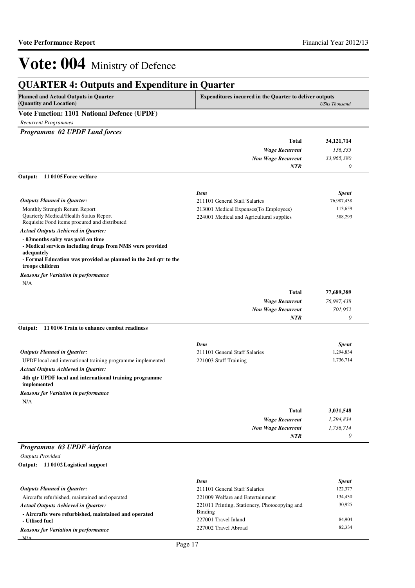## **QUARTER 4: Outputs and Expenditure in Quarter**

| Planned and Actual Outputs in Quarter       | <b>Expenditures incurred in the Quarter to deliver outputs</b> |  |
|---------------------------------------------|----------------------------------------------------------------|--|
| (Quantity and Location)                     | UShs Thousand                                                  |  |
| Vote Function: 1101 National Defence (UPDF) |                                                                |  |

*Recurrent Programmes*

*Programme 02 UPDF Land forces*

|                                                                                                                                                                                                     | Total<br><b>Wage Recurrent</b><br><b>Non Wage Recurrent</b>                        | 34,121,714         |
|-----------------------------------------------------------------------------------------------------------------------------------------------------------------------------------------------------|------------------------------------------------------------------------------------|--------------------|
|                                                                                                                                                                                                     |                                                                                    | 156,335            |
|                                                                                                                                                                                                     |                                                                                    | 33,965,380         |
|                                                                                                                                                                                                     | <b>NTR</b>                                                                         | 0                  |
| 110105 Force welfare<br>Output:                                                                                                                                                                     |                                                                                    |                    |
|                                                                                                                                                                                                     | <b>Item</b>                                                                        | <b>Spent</b>       |
| <b>Outputs Planned in Quarter:</b>                                                                                                                                                                  | 211101 General Staff Salaries                                                      | 76,987,438         |
| Monthly Strength Return Report<br>Quarterly Medical/Health Status Report<br>Requisite Food items procured and distributed                                                                           | 213001 Medical Expenses (To Employees)<br>224001 Medical and Agricultural supplies | 113,659<br>588,293 |
| <b>Actual Outputs Achieved in Quarter:</b>                                                                                                                                                          |                                                                                    |                    |
| - 03months salry was paid on time<br>- Medical services including drugs from NMS were provided<br>adequately<br>- Formal Education was provided as planned in the 2nd qtr to the<br>troops children |                                                                                    |                    |
| <b>Reasons for Variation in performance</b>                                                                                                                                                         |                                                                                    |                    |
| N/A                                                                                                                                                                                                 |                                                                                    |                    |
|                                                                                                                                                                                                     | <b>Total</b>                                                                       | 77,689,389         |
|                                                                                                                                                                                                     | <b>Wage Recurrent</b>                                                              | 76,987,438         |
|                                                                                                                                                                                                     | <b>Non Wage Recurrent</b>                                                          | 701,952            |
|                                                                                                                                                                                                     | <b>NTR</b>                                                                         | $\theta$           |
| Output:<br>11 0106 Train to enhance combat readiness                                                                                                                                                |                                                                                    |                    |
|                                                                                                                                                                                                     | <b>Item</b>                                                                        | <b>Spent</b>       |
| <b>Outputs Planned in Quarter:</b>                                                                                                                                                                  | 211101 General Staff Salaries                                                      | 1,294,834          |
| UPDF local and international training programme implemented                                                                                                                                         | 221003 Staff Training                                                              | 1,736,714          |
| <b>Actual Outputs Achieved in Quarter:</b>                                                                                                                                                          |                                                                                    |                    |
| 4th qtr UPDF local and international training programme<br>implemented                                                                                                                              |                                                                                    |                    |
| Reasons for Variation in performance                                                                                                                                                                |                                                                                    |                    |
| N/A                                                                                                                                                                                                 |                                                                                    |                    |
|                                                                                                                                                                                                     | <b>Total</b>                                                                       | 3,031,548          |
|                                                                                                                                                                                                     | <b>Wage Recurrent</b>                                                              | 1,294,834          |
|                                                                                                                                                                                                     | <b>Non Wage Recurrent</b>                                                          | 1,736,714          |
|                                                                                                                                                                                                     | NTR                                                                                | $\theta$           |
| Programme 03 UPDF Airforce                                                                                                                                                                          |                                                                                    |                    |
| <b>Outputs Provided</b>                                                                                                                                                                             |                                                                                    |                    |
| Output: 11 0102 Logistical support                                                                                                                                                                  |                                                                                    |                    |
|                                                                                                                                                                                                     |                                                                                    |                    |
|                                                                                                                                                                                                     | <b>Item</b>                                                                        | <b>Spent</b>       |
| <b>Outputs Planned in Quarter:</b>                                                                                                                                                                  | 211101 General Staff Salaries                                                      | 122,377            |
| Aircrafts refurbished, maintained and operated                                                                                                                                                      | 221009 Welfare and Entertainment                                                   | 134,430            |
| Actual Outnuts Achieved in Quarter.                                                                                                                                                                 | 221011 Printing, Stationery, Photoconving and                                      | 30,925             |

**- Utlised fuel**  $N/\Delta$ *Reasons for Variation in performance*

*Actual Outputs Achieved in Quarter:*

**- Aircrafts were refurbished, maintained and operated**

Binding

221011 Printing, Stationery, Photocopying and

227001 Travel Inland 84,904 227002 Travel Abroad 82,334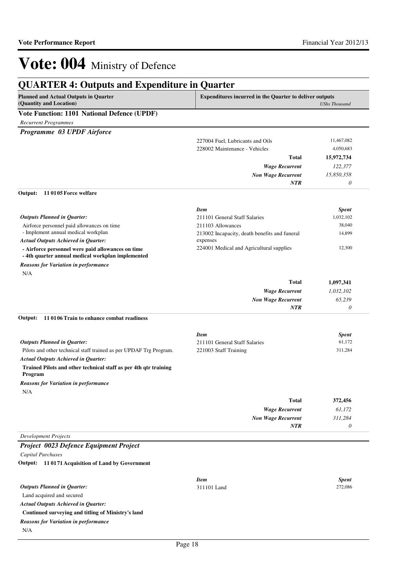## **QUARTER 4: Outputs and Expenditure in Quarter**

| <b>Planned and Actual Outputs in Quarter</b><br>(Quantity and Location)                               | <b>Expenditures incurred in the Quarter to deliver outputs</b><br><b>UShs Thousand</b> |              |
|-------------------------------------------------------------------------------------------------------|----------------------------------------------------------------------------------------|--------------|
| <b>Vote Function: 1101 National Defence (UPDF)</b>                                                    |                                                                                        |              |
| <b>Recurrent Programmes</b>                                                                           |                                                                                        |              |
| Programme 03 UPDF Airforce                                                                            |                                                                                        |              |
|                                                                                                       | 227004 Fuel, Lubricants and Oils                                                       | 11,467,082   |
|                                                                                                       | 228002 Maintenance - Vehicles                                                          | 4,050,683    |
|                                                                                                       | <b>Total</b>                                                                           | 15,972,734   |
|                                                                                                       | <b>Wage Recurrent</b>                                                                  | 122,377      |
|                                                                                                       | <b>Non Wage Recurrent</b>                                                              | 15,850,358   |
|                                                                                                       | NTR                                                                                    | 0            |
| 110105 Force welfare<br>Output:                                                                       |                                                                                        |              |
|                                                                                                       | <b>Item</b>                                                                            | <b>Spent</b> |
| <b>Outputs Planned in Quarter:</b>                                                                    | 211101 General Staff Salaries                                                          | 1,032,102    |
| Airforce personnel paid allowances on time                                                            | 211103 Allowances                                                                      | 38,040       |
| - Implement annual medical workplan                                                                   | 213002 Incapacity, death benefits and funeral                                          | 14,899       |
| <b>Actual Outputs Achieved in Quarter:</b>                                                            | expenses                                                                               |              |
| - Airforce personnel were paid allowances on time<br>-4th quarter annual medical workplan implemented | 224001 Medical and Agricultural supplies                                               | 12,300       |
| <b>Reasons for Variation in performance</b>                                                           |                                                                                        |              |
| N/A                                                                                                   |                                                                                        |              |
|                                                                                                       | <b>Total</b>                                                                           | 1,097,341    |
|                                                                                                       | <b>Wage Recurrent</b>                                                                  | 1,032,102    |
|                                                                                                       | <b>Non Wage Recurrent</b>                                                              | 65,239       |
|                                                                                                       | <b>NTR</b>                                                                             | 0            |
| 110106 Train to enhance combat readiness<br>Output:                                                   |                                                                                        |              |
|                                                                                                       | <b>Item</b>                                                                            | <b>Spent</b> |
| <b>Outputs Planned in Quarter:</b>                                                                    | 211101 General Staff Salaries                                                          | 61,172       |
| Pilots and other technical staff trained as per UPDAF Trg Program.                                    | 221003 Staff Training                                                                  | 311,284      |
| <b>Actual Outputs Achieved in Quarter:</b>                                                            |                                                                                        |              |
| Trained Pilots and other technical staff as per 4th qtr training<br>Program                           |                                                                                        |              |
| <b>Reasons for Variation in performance</b>                                                           |                                                                                        |              |
| N/A                                                                                                   |                                                                                        |              |
|                                                                                                       | <b>Total</b>                                                                           | 372,456      |
|                                                                                                       | <b>Wage Recurrent</b>                                                                  | 61,172       |
|                                                                                                       | <b>Non Wage Recurrent</b>                                                              | 311,284      |
|                                                                                                       | NTR                                                                                    | 0            |
| <b>Development Projects</b>                                                                           |                                                                                        |              |
| Project 0023 Defence Equipment Project                                                                |                                                                                        |              |
| <b>Capital Purchases</b>                                                                              |                                                                                        |              |
| Output: 11 0171 Acquisition of Land by Government                                                     |                                                                                        |              |
|                                                                                                       | <b>Item</b>                                                                            | <b>Spent</b> |
| <b>Outputs Planned in Quarter:</b>                                                                    | 311101 Land                                                                            | 272,086      |
| Land acquired and secured                                                                             |                                                                                        |              |
| <b>Actual Outputs Achieved in Quarter:</b>                                                            |                                                                                        |              |
| Continued surveying and titling of Ministry's land                                                    |                                                                                        |              |

*Reasons for Variation in performance*

N/A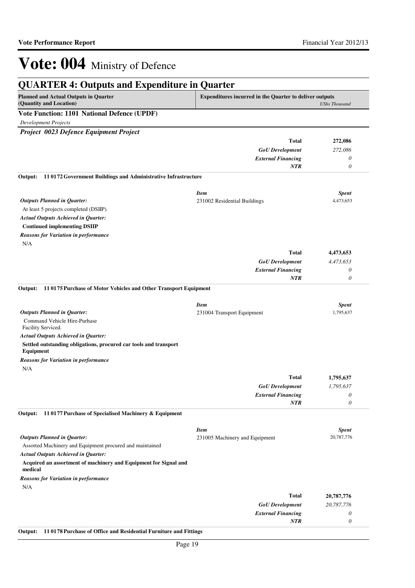| <b>QUARTER 4: Outputs and Expenditure in Quarter</b>                           |                                                         |                       |
|--------------------------------------------------------------------------------|---------------------------------------------------------|-----------------------|
| <b>Planned and Actual Outputs in Quarter</b><br>(Quantity and Location)        | Expenditures incurred in the Quarter to deliver outputs | <b>UShs Thousand</b>  |
| Vote Function: 1101 National Defence (UPDF)                                    |                                                         |                       |
| <b>Development Projects</b>                                                    |                                                         |                       |
| Project 0023 Defence Equipment Project                                         |                                                         |                       |
|                                                                                | <b>Total</b>                                            | 272,086               |
|                                                                                | <b>GoU</b> Development                                  | 272,086               |
|                                                                                | <b>External Financing</b>                               | 0                     |
|                                                                                | NTR                                                     | 0                     |
| 11 0172 Government Buildings and Administrative Infrastructure<br>Output:      |                                                         |                       |
|                                                                                | <b>Item</b>                                             | <b>Spent</b>          |
| <b>Outputs Planned in Quarter:</b>                                             | 231002 Residential Buildings                            | 4,473,653             |
| At least 5 projects completed (DSIIP).                                         |                                                         |                       |
| <b>Actual Outputs Achieved in Quarter:</b>                                     |                                                         |                       |
| <b>Continued implementing DSIIP</b>                                            |                                                         |                       |
| <b>Reasons for Variation in performance</b>                                    |                                                         |                       |
| N/A                                                                            |                                                         |                       |
|                                                                                | <b>Total</b>                                            | 4,473,653             |
|                                                                                | <b>GoU</b> Development                                  | 4,473,653             |
|                                                                                | <b>External Financing</b>                               | 0                     |
|                                                                                | <b>NTR</b>                                              | $\boldsymbol{\theta}$ |
| 11 0175 Purchase of Motor Vehicles and Other Transport Equipment<br>Output:    |                                                         |                       |
|                                                                                | <b>Item</b>                                             | <b>Spent</b>          |
| <b>Outputs Planned in Quarter:</b>                                             | 231004 Transport Equipment                              | 1,795,637             |
| Command Vehicle Hire-Purhase<br>Facility Serviced.                             |                                                         |                       |
| <b>Actual Outputs Achieved in Quarter:</b>                                     |                                                         |                       |
| Settled outstanding obligations, procured car tools and transport<br>Equipment |                                                         |                       |
| <b>Reasons for Variation in performance</b>                                    |                                                         |                       |
| N/A                                                                            |                                                         |                       |
|                                                                                | <b>Total</b>                                            | 1,795,637             |
|                                                                                | <b>GoU</b> Development                                  | 1,795,637             |
|                                                                                | <b>External Financing</b>                               | $\theta$              |
| 11 0177 Purchase of Specialised Machinery & Equipment<br>Output:               | NTR                                                     | $\boldsymbol{\theta}$ |
|                                                                                |                                                         |                       |
|                                                                                | <b>Item</b>                                             | <b>Spent</b>          |
| <b>Outputs Planned in Quarter:</b>                                             | 231005 Machinery and Equipment                          | 20,787,776            |
| Assorted Machinery and Equipment procured and maintained                       |                                                         |                       |
| <b>Actual Outputs Achieved in Quarter:</b>                                     |                                                         |                       |
| Acquired an assortment of machinery and Equipment for Signal and<br>medical    |                                                         |                       |
| <b>Reasons for Variation in performance</b>                                    |                                                         |                       |
| N/A                                                                            |                                                         |                       |
|                                                                                | <b>Total</b>                                            | 20,787,776            |
|                                                                                | <b>GoU</b> Development                                  | 20,787,776            |
|                                                                                | <b>External Financing</b>                               | 0                     |
|                                                                                | <b>NTR</b>                                              | $\boldsymbol{\theta}$ |

#### **Output: 11 0178 Purchase of Office and Residential Furniture and Fittings**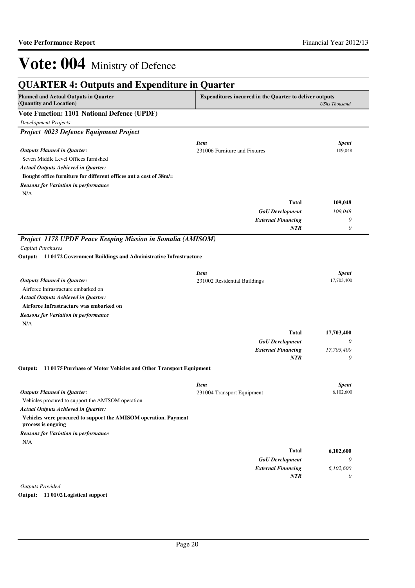| <b>QUARTER 4: Outputs and Expenditure in Quarter</b>                                  |                                                                |                            |
|---------------------------------------------------------------------------------------|----------------------------------------------------------------|----------------------------|
| <b>Planned and Actual Outputs in Quarter</b><br>(Quantity and Location)               | <b>Expenditures incurred in the Quarter to deliver outputs</b> | <b>UShs Thousand</b>       |
| <b>Vote Function: 1101 National Defence (UPDF)</b>                                    |                                                                |                            |
| <b>Development Projects</b>                                                           |                                                                |                            |
| Project 0023 Defence Equipment Project                                                |                                                                |                            |
|                                                                                       | <b>Item</b>                                                    | <b>Spent</b>               |
| <b>Outputs Planned in Quarter:</b>                                                    | 231006 Furniture and Fixtures                                  | 109,048                    |
| Seven Middle Level Offices furnished                                                  |                                                                |                            |
| <b>Actual Outputs Achieved in Quarter:</b>                                            |                                                                |                            |
| Bought office furniture for different offices ant a cost of 38m/=                     |                                                                |                            |
| <b>Reasons for Variation in performance</b>                                           |                                                                |                            |
| N/A                                                                                   |                                                                |                            |
|                                                                                       | <b>Total</b>                                                   | 109,048                    |
|                                                                                       | <b>GoU</b> Development                                         | 109,048                    |
|                                                                                       | <b>External Financing</b>                                      | 0                          |
|                                                                                       | NTR                                                            | 0                          |
|                                                                                       |                                                                |                            |
| Project 1178 UPDF Peace Keeping Mission in Somalia (AMISOM)                           |                                                                |                            |
| <b>Capital Purchases</b>                                                              |                                                                |                            |
| Output: 11 0172 Government Buildings and Administrative Infrastructure                |                                                                |                            |
|                                                                                       |                                                                |                            |
| <b>Outputs Planned in Quarter:</b>                                                    | <b>Item</b><br>231002 Residential Buildings                    | <b>Spent</b><br>17,703,400 |
| Airforce Infrastracture embarked on                                                   |                                                                |                            |
| <b>Actual Outputs Achieved in Quarter:</b>                                            |                                                                |                            |
| Airforce Infrastracture was embarked on                                               |                                                                |                            |
|                                                                                       |                                                                |                            |
| <b>Reasons for Variation in performance</b>                                           |                                                                |                            |
| N/A                                                                                   |                                                                |                            |
|                                                                                       | <b>Total</b>                                                   | 17,703,400                 |
|                                                                                       | <b>GoU</b> Development                                         | 0                          |
|                                                                                       | <b>External Financing</b>                                      | 17,703,400                 |
|                                                                                       | <b>NTR</b>                                                     | 0                          |
| 110175 Purchase of Motor Vehicles and Other Transport Equipment<br>Output:            |                                                                |                            |
|                                                                                       | <b>Item</b>                                                    | <b>Spent</b>               |
| <b>Outputs Planned in Ouarter:</b>                                                    | 231004 Transport Equipment                                     | 6,102,600                  |
| Vehicles procured to support the AMISOM operation                                     |                                                                |                            |
| <b>Actual Outputs Achieved in Quarter:</b>                                            |                                                                |                            |
| Vehicles were procured to support the AMISOM operation. Payment<br>process is ongoing |                                                                |                            |
| <b>Reasons for Variation in performance</b>                                           |                                                                |                            |
|                                                                                       |                                                                |                            |
| N/A                                                                                   |                                                                |                            |
|                                                                                       | <b>Total</b>                                                   |                            |
|                                                                                       | <b>GoU</b> Development                                         | 0                          |
|                                                                                       | <b>External Financing</b>                                      | 6,102,600<br>6,102,600     |

*Outputs Provided* **Output: 11 0102 Logistical support**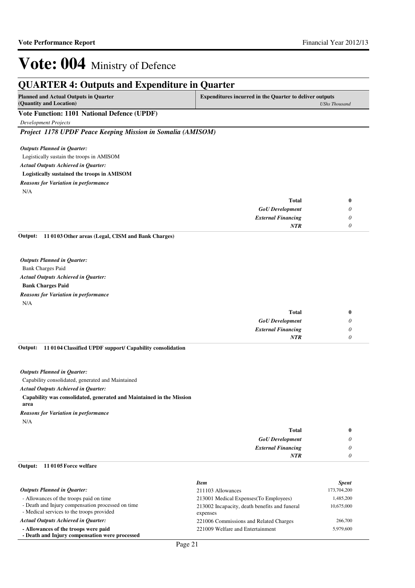| <b>Planned and Actual Outputs in Quarter</b>                  | <b>Expenditures incurred in the Quarter to deliver outputs</b> |                      |
|---------------------------------------------------------------|----------------------------------------------------------------|----------------------|
| (Quantity and Location)                                       |                                                                | <b>UShs Thousand</b> |
| Vote Function: 1101 National Defence (UPDF)                   |                                                                |                      |
| <b>Development Projects</b>                                   |                                                                |                      |
| Project 1178 UPDF Peace Keeping Mission in Somalia (AMISOM)   |                                                                |                      |
| <b>Outputs Planned in Quarter:</b>                            |                                                                |                      |
| Logistically sustain the troops in AMISOM                     |                                                                |                      |
| <b>Actual Outputs Achieved in Quarter:</b>                    |                                                                |                      |
| Logistically sustained the troops in AMISOM                   |                                                                |                      |
| <b>Reasons for Variation in performance</b>                   |                                                                |                      |
| N/A                                                           |                                                                |                      |
|                                                               | <b>Total</b>                                                   | $\bf{0}$             |
|                                                               | <b>GoU</b> Development                                         | 0                    |
|                                                               | <b>External Financing</b>                                      | 0                    |
|                                                               | <b>NTR</b>                                                     | 0                    |
| 11 0103 Other areas (Legal, CISM and Bank Charges)<br>Output: |                                                                |                      |
|                                                               |                                                                |                      |
| <b>Outputs Planned in Ouarter:</b>                            |                                                                |                      |
| <b>Bank Charges Paid</b>                                      |                                                                |                      |
| <b>Actual Outputs Achieved in Quarter:</b>                    |                                                                |                      |
| <b>Bank Charges Paid</b>                                      |                                                                |                      |
| <b>Reasons for Variation in performance</b>                   |                                                                |                      |
| N/A                                                           |                                                                |                      |

| Total                     |          |
|---------------------------|----------|
| <b>GoU</b> Development    | $\prime$ |
| <b>External Financing</b> |          |
| <b>NTR</b>                |          |

#### **11 0104 Classified UPDF support/ Capability consolidation Output:**

*Outputs Planned in Quarter:*

Capability consolidated, generated and Maintained

*Actual Outputs Achieved in Quarter:*

#### **Capability was consolidated, generated and Maintained in the Mission**

**area**

*Reasons for Variation in performance*

N/A

| <b>Total</b>              |  |
|---------------------------|--|
| <b>GoU</b> Development    |  |
| <b>External Financing</b> |  |
| NTR                       |  |

#### **11 0105 Force welfare Output:**

|                                                                                                | <b>Item</b>                                               | <b>Spent</b> |
|------------------------------------------------------------------------------------------------|-----------------------------------------------------------|--------------|
| <b>Outputs Planned in Quarter:</b>                                                             | 211103 Allowances                                         | 173,704,200  |
| - Allowances of the troops paid on time                                                        | 213001 Medical Expenses (To Employees)                    | 1,485,200    |
| - Death and Injury compensation processed on time<br>- Medical services to the troops provided | 213002 Incapacity, death benefits and funeral<br>expenses | 10,675,000   |
| <b>Actual Outputs Achieved in Ouarter:</b>                                                     | 221006 Commissions and Related Charges                    | 266,700      |
| - Allowances of the troops were paid                                                           | 221009 Welfare and Entertainment                          | 5,979,600    |
| - Death and Injury compensation were processed                                                 |                                                           |              |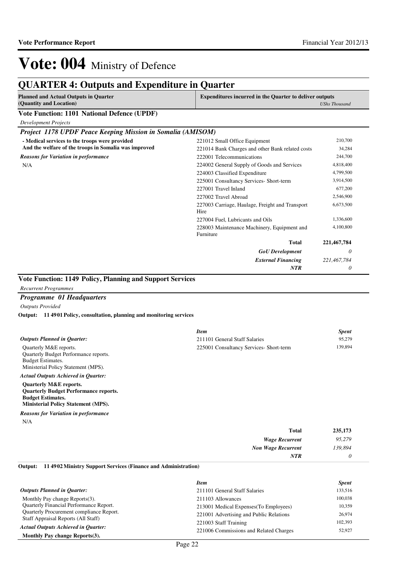## **QUARTER 4: Outputs and Expenditure in Quarter**

| <b>Planned and Actual Outputs in Quarter</b>                |                                                          | <b>Expenditures incurred in the Quarter to deliver outputs</b> |  |
|-------------------------------------------------------------|----------------------------------------------------------|----------------------------------------------------------------|--|
| (Quantity and Location)                                     |                                                          | <b>UShs Thousand</b>                                           |  |
| <b>Vote Function: 1101 National Defence (UPDF)</b>          |                                                          |                                                                |  |
| <b>Development Projects</b>                                 |                                                          |                                                                |  |
| Project 1178 UPDF Peace Keeping Mission in Somalia (AMISOM) |                                                          |                                                                |  |
| - Medical services to the troops were provided              | 221012 Small Office Equipment                            | 210,700                                                        |  |
| And the welfare of the troops in Somalia was improved       | 221014 Bank Charges and other Bank related costs         | 34,284                                                         |  |
| <b>Reasons for Variation in performance</b>                 | 222001 Telecommunications                                | 244,700                                                        |  |
| N/A                                                         | 224002 General Supply of Goods and Services              | 4,818,400                                                      |  |
|                                                             | 224003 Classified Expenditure                            | 4,799,500                                                      |  |
|                                                             | 225001 Consultancy Services- Short-term                  | 3,914,500                                                      |  |
|                                                             | 227001 Travel Inland                                     | 677,200                                                        |  |
|                                                             | 227002 Travel Abroad                                     | 2,546,900                                                      |  |
|                                                             | 227003 Carriage, Haulage, Freight and Transport<br>Hire  | 6,673,500                                                      |  |
|                                                             | 227004 Fuel, Lubricants and Oils                         | 1,336,600                                                      |  |
|                                                             | 228003 Maintenance Machinery, Equipment and<br>Furniture | 4,100,800                                                      |  |
|                                                             | <b>Total</b>                                             | 221,467,784                                                    |  |
|                                                             | <b>GoU</b> Development                                   | 0                                                              |  |
|                                                             | <b>External Financing</b>                                | 221,467,784                                                    |  |
|                                                             | <b>NTR</b>                                               | 0                                                              |  |

*Recurrent Programmes*

#### *Programme 01 Headquarters*

*Outputs Provided*

**11 4901 Policy, consultation, planning and monitoring services Output:**

|                                                                                                                                                             | <b>Item</b>                             | <b>Spent</b> |
|-------------------------------------------------------------------------------------------------------------------------------------------------------------|-----------------------------------------|--------------|
| <b>Outputs Planned in Ouarter:</b>                                                                                                                          | 211101 General Staff Salaries           | 95.279       |
| Quarterly M&E reports.<br><b>Ouarterly Budget Performance reports.</b><br><b>Budget Estimates.</b><br>Ministerial Policy Statement (MPS).                   | 225001 Consultancy Services- Short-term | 139,894      |
| <b>Actual Outputs Achieved in Ouarter:</b>                                                                                                                  |                                         |              |
| <b>Quarterly M&amp;E reports.</b><br><b>Ouarterly Budget Performance reports.</b><br><b>Budget Estimates.</b><br><b>Ministerial Policy Statement (MPS).</b> |                                         |              |
| $\mathbf{r}$ $\mathbf{r}$ $\mathbf{r}$ $\mathbf{r}$ $\mathbf{r}$ $\mathbf{r}$ $\mathbf{r}$                                                                  |                                         |              |

N/A *Reasons for Variation in performance*

| <b>Total</b>              | 235,173 |
|---------------------------|---------|
| <b>Wage Recurrent</b>     | 95,279  |
| <b>Non Wage Recurrent</b> | 139,894 |
| NTR                       |         |

**11 4902 Ministry Support Services (Finance and Administration) Output:**

|                                                 | <b>Item</b>                             | <b>Spent</b> |
|-------------------------------------------------|-----------------------------------------|--------------|
| <b>Outputs Planned in Ouarter:</b>              | 211101 General Staff Salaries           | 133,516      |
| Monthly Pay change Reports(3).                  | 211103 Allowances                       | 100.038      |
| <b>Ouarterly Financial Performance Report.</b>  | 213001 Medical Expenses (To Employees)  | 10,359       |
| <b>Ouarterly Procurement compliance Report.</b> | 221001 Advertising and Public Relations | 26,974       |
| Staff Appraisal Reports (All Staff)             | 221003 Staff Training                   | 102,393      |
| <b>Actual Outputs Achieved in Ouarter:</b>      | 221006 Commissions and Related Charges  | 52,927       |
| Monthly Pay change Reports(3).                  |                                         |              |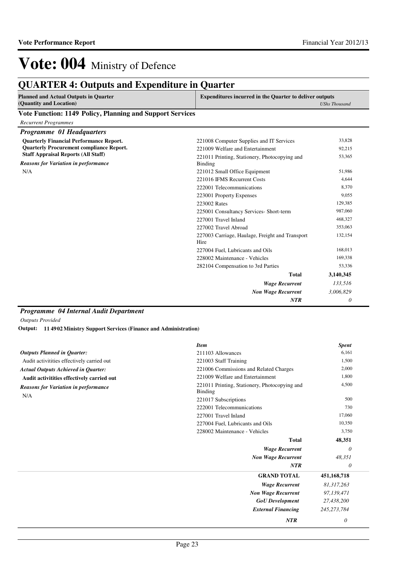## **QUARTER 4: Outputs and Expenditure in Quarter**

| <b>Planned and Actual Outputs in Quarter</b> | <b>Expenditures incurred in the Quarter to deliver outputs</b> |
|----------------------------------------------|----------------------------------------------------------------|
| (Quantity and Location)                      | UShs Thousand                                                  |

#### **Vote Function: 1149 Policy, Planning and Support Services**

| <b>Recurrent Programmes</b>                     |                                                         |           |
|-------------------------------------------------|---------------------------------------------------------|-----------|
| Programme 01 Headquarters                       |                                                         |           |
| <b>Quarterly Financial Performance Report.</b>  | 221008 Computer Supplies and IT Services                | 33,828    |
| <b>Quarterly Procurement compliance Report.</b> | 221009 Welfare and Entertainment                        | 92,215    |
| <b>Staff Appraisal Reports (All Staff)</b>      | 221011 Printing, Stationery, Photocopying and           | 53,365    |
| <b>Reasons for Variation in performance</b>     | Binding                                                 |           |
| N/A                                             | 221012 Small Office Equipment                           | 51,986    |
|                                                 | 221016 IFMS Recurrent Costs                             | 4.644     |
|                                                 | 222001 Telecommunications                               | 8,370     |
|                                                 | 223001 Property Expenses                                | 9,055     |
|                                                 | 223002 Rates                                            | 129,385   |
|                                                 | 225001 Consultancy Services- Short-term                 | 987,060   |
|                                                 | 227001 Travel Inland                                    | 468,327   |
|                                                 | 227002 Travel Abroad                                    | 353,063   |
|                                                 | 227003 Carriage, Haulage, Freight and Transport<br>Hire | 132,154   |
|                                                 | 227004 Fuel. Lubricants and Oils                        | 168,013   |
|                                                 | 228002 Maintenance - Vehicles                           | 169,338   |
|                                                 | 282104 Compensation to 3rd Parties                      | 53,336    |
|                                                 | <b>Total</b>                                            | 3,140,345 |
|                                                 | <b>Wage Recurrent</b>                                   | 133,516   |
|                                                 | <b>Non Wage Recurrent</b>                               | 3,006,829 |
|                                                 | <b>NTR</b>                                              | 0         |

#### *Programme 04 Internal Audit Department*

*Outputs Provided*

**11 4902 Ministry Support Services (Finance and Administration) Output:**

|                                             | <b>Item</b>                                              | <b>Spent</b>  |
|---------------------------------------------|----------------------------------------------------------|---------------|
| <b>Outputs Planned in Quarter:</b>          | 211103 Allowances                                        | 6,161         |
| Audit activitities effectively carried out  | 221003 Staff Training                                    | 1,500         |
| <b>Actual Outputs Achieved in Quarter:</b>  | 221006 Commissions and Related Charges                   | 2,000         |
| Audit activitities effectively carried out  | 221009 Welfare and Entertainment                         | 1,800         |
| <b>Reasons for Variation in performance</b> | 221011 Printing, Stationery, Photocopying and<br>Binding | 4,500         |
| N/A                                         | 221017 Subscriptions                                     | 500           |
|                                             | 222001 Telecommunications                                | 730           |
|                                             | 227001 Travel Inland                                     | 17,060        |
|                                             | 227004 Fuel, Lubricants and Oils                         | 10,350        |
|                                             | 228002 Maintenance - Vehicles                            | 3,750         |
|                                             | <b>Total</b>                                             | 48,351        |
|                                             | <b>Wage Recurrent</b>                                    | 0             |
|                                             | <b>Non Wage Recurrent</b>                                | 48,351        |
|                                             | <b>NTR</b>                                               | 0             |
|                                             | <b>GRAND TOTAL</b>                                       | 451,168,718   |
|                                             | <b>Wage Recurrent</b>                                    | 81,317,263    |
|                                             | <b>Non Wage Recurrent</b>                                | 97,139,471    |
|                                             | <b>GoU</b> Development                                   | 27,438,200    |
|                                             | <b>External Financing</b>                                | 245, 273, 784 |
|                                             | <b>NTR</b>                                               | 0             |